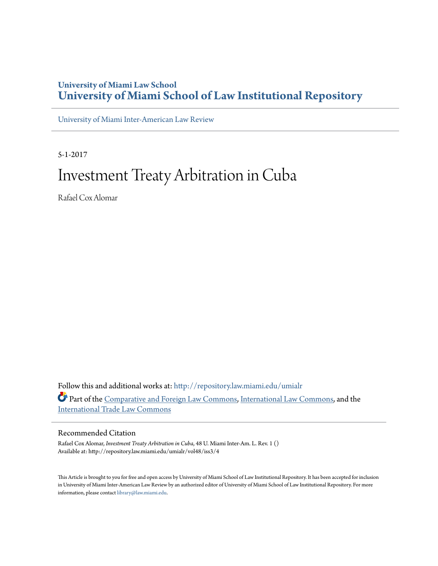# **University of Miami Law School [University of Miami School of Law Institutional Repository](http://repository.law.miami.edu?utm_source=repository.law.miami.edu%2Fumialr%2Fvol48%2Fiss3%2F4&utm_medium=PDF&utm_campaign=PDFCoverPages)**

[University of Miami Inter-American Law Review](http://repository.law.miami.edu/umialr?utm_source=repository.law.miami.edu%2Fumialr%2Fvol48%2Fiss3%2F4&utm_medium=PDF&utm_campaign=PDFCoverPages)

5-1-2017

# Investment Treaty Arbitration in Cuba

Rafael Cox Alomar

Follow this and additional works at: [http://repository.law.miami.edu/umialr](http://repository.law.miami.edu/umialr?utm_source=repository.law.miami.edu%2Fumialr%2Fvol48%2Fiss3%2F4&utm_medium=PDF&utm_campaign=PDFCoverPages) Part of the [Comparative and Foreign Law Commons](http://network.bepress.com/hgg/discipline/836?utm_source=repository.law.miami.edu%2Fumialr%2Fvol48%2Fiss3%2F4&utm_medium=PDF&utm_campaign=PDFCoverPages), [International Law Commons](http://network.bepress.com/hgg/discipline/609?utm_source=repository.law.miami.edu%2Fumialr%2Fvol48%2Fiss3%2F4&utm_medium=PDF&utm_campaign=PDFCoverPages), and the [International Trade Law Commons](http://network.bepress.com/hgg/discipline/848?utm_source=repository.law.miami.edu%2Fumialr%2Fvol48%2Fiss3%2F4&utm_medium=PDF&utm_campaign=PDFCoverPages)

# Recommended Citation

Rafael Cox Alomar, *Investment Treaty Arbitration in Cuba*, 48 U. Miami Inter-Am. L. Rev. 1 () Available at: http://repository.law.miami.edu/umialr/vol48/iss3/4

This Article is brought to you for free and open access by University of Miami School of Law Institutional Repository. It has been accepted for inclusion in University of Miami Inter-American Law Review by an authorized editor of University of Miami School of Law Institutional Repository. For more information, please contact [library@law.miami.edu.](mailto:library@law.miami.edu)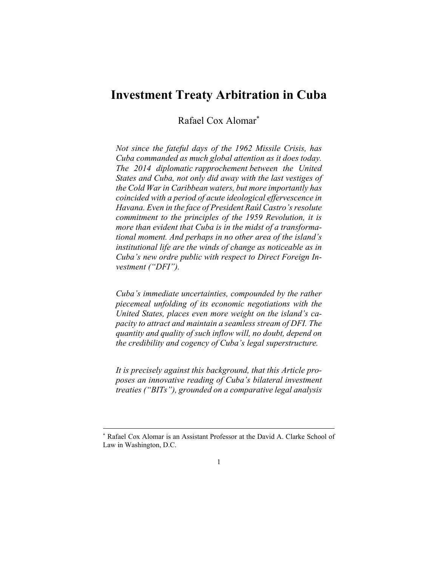# **Investment Treaty Arbitration in Cuba**

Rafael Cox Alomar\*

*Not since the fateful days of the 1962 Missile Crisis, has Cuba commanded as much global attention as it does today. The 2014 diplomatic rapprochement between the United States and Cuba, not only did away with the last vestiges of the Cold War in Caribbean waters, but more importantly has coincided with a period of acute ideological effervescence in Havana. Even in the face of President Raúl Castro's resolute commitment to the principles of the 1959 Revolution, it is more than evident that Cuba is in the midst of a transformational moment. And perhaps in no other area of the island's institutional life are the winds of change as noticeable as in Cuba's new ordre public with respect to Direct Foreign Investment ("DFI").* 

*Cuba's immediate uncertainties, compounded by the rather piecemeal unfolding of its economic negotiations with the United States, places even more weight on the island's capacity to attract and maintain a seamless stream of DFI. The quantity and quality of such inflow will, no doubt, depend on the credibility and cogency of Cuba's legal superstructure.* 

*It is precisely against this background, that this Article proposes an innovative reading of Cuba's bilateral investment treaties ("BITs"), grounded on a comparative legal analysis* 

<sup>\*</sup> Rafael Cox Alomar is an Assistant Professor at the David A. Clarke School of Law in Washington, D.C.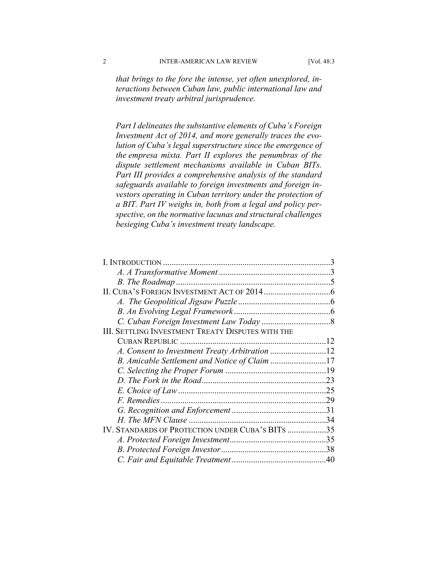*that brings to the fore the intense, yet often unexplored, interactions between Cuban law, public international law and investment treaty arbitral jurisprudence.* 

*Part I delineates the substantive elements of Cuba's Foreign Investment Act of 2014, and more generally traces the evolution of Cuba's legal superstructure since the emergence of the empresa mixta. Part II explores the penumbras of the dispute settlement mechanisms available in Cuban BITs. Part III provides a comprehensive analysis of the standard safeguards available to foreign investments and foreign investors operating in Cuban territory under the protection of a BIT. Part IV weighs in, both from a legal and policy perspective, on the normative lacunas and structural challenges besieging Cuba's investment treaty landscape.* 

| <b>III. SETTLING INVESTMENT TREATY DISPUTES WITH THE</b> |  |
|----------------------------------------------------------|--|
|                                                          |  |
|                                                          |  |
| B. Amicable Settlement and Notice of Claim 17            |  |
|                                                          |  |
|                                                          |  |
|                                                          |  |
|                                                          |  |
|                                                          |  |
|                                                          |  |
| IV. STANDARDS OF PROTECTION UNDER CUBA'S BITS 35         |  |
|                                                          |  |
|                                                          |  |
|                                                          |  |
|                                                          |  |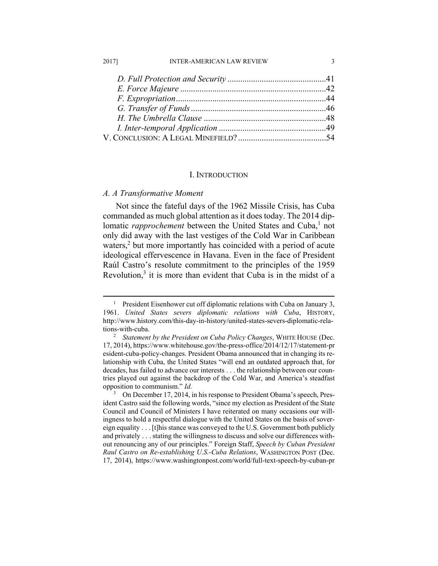#### 2017] INTER-AMERICAN LAW REVIEW 3

#### I. INTRODUCTION

# *A. A Transformative Moment*

Not since the fateful days of the 1962 Missile Crisis, has Cuba commanded as much global attention as it does today. The 2014 diplomatic *rapprochement* between the United States and Cuba,<sup>1</sup> not only did away with the last vestiges of the Cold War in Caribbean waters,<sup>2</sup> but more importantly has coincided with a period of acute ideological effervescence in Havana. Even in the face of President Raúl Castro's resolute commitment to the principles of the 1959 Revolution, $3$  it is more than evident that Cuba is in the midst of a

 $\frac{1}{1}$ <sup>1</sup> President Eisenhower cut off diplomatic relations with Cuba on January 3, 1961. *United States severs diplomatic relations with Cuba*, HISTORY, http://www.history.com/this-day-in-history/united-states-severs-diplomatic-relations-with-cuba. 2

*Statement by the President on Cuba Policy Changes*, WHITE HOUSE (Dec. 17, 2014), https://www.whitehouse.gov/the-press-office/2014/12/17/statement-pr esident-cuba-policy-changes. President Obama announced that in changing its relationship with Cuba, the United States "will end an outdated approach that, for decades, has failed to advance our interests . . . the relationship between our countries played out against the backdrop of the Cold War, and America's steadfast opposition to communism." *Id.* 

<sup>3</sup> On December 17, 2014, in his response to President Obama's speech, President Castro said the following words, "since my election as President of the State Council and Council of Ministers I have reiterated on many occasions our willingness to hold a respectful dialogue with the United States on the basis of sovereign equality . . . [t]his stance was conveyed to the U.S. Government both publicly and privately . . . stating the willingness to discuss and solve our differences without renouncing any of our principles." Foreign Staff, *Speech by Cuban President Raul Castro on Re-establishing U.S.-Cuba Relations*, WASHINGTON POST (Dec. 17, 2014), https://www.washingtonpost.com/world/full-text-speech-by-cuban-pr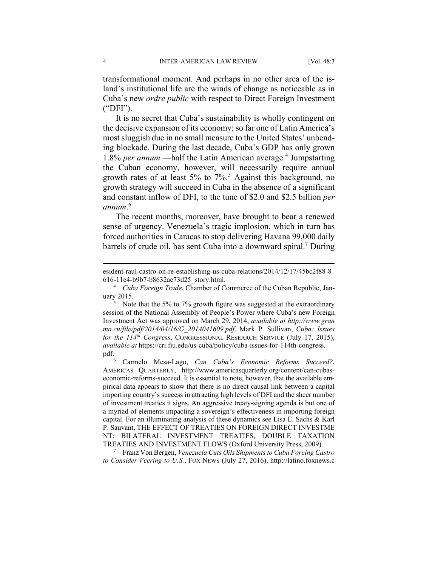transformational moment. And perhaps in no other area of the island's institutional life are the winds of change as noticeable as in Cuba's new *ordre public* with respect to Direct Foreign Investment ("DFI").

It is no secret that Cuba's sustainability is wholly contingent on the decisive expansion of its economy; so far one of Latin America's most sluggish due in no small measure to the United States' unbending blockade. During the last decade, Cuba's GDP has only grown 1.8% *per annum* — half the Latin American average.<sup>4</sup> Jumpstarting the Cuban economy, however, will necessarily require annual growth rates of at least 5% to 7%.<sup>5</sup> Against this background, no growth strategy will succeed in Cuba in the absence of a significant and constant inflow of DFI, to the tune of \$2.0 and \$2.5 billion *per annum*. 6

The recent months, moreover, have brought to bear a renewed sense of urgency. Venezuela's tragic implosion, which in turn has forced authorities in Caracas to stop delivering Havana 99,000 daily barrels of crude oil, has sent Cuba into a downward spiral.<sup>7</sup> During

 Franz Von Bergen, *Venezuela Cuts Oils Shipments to Cuba Forcing Castro to Consider Veering to U.S.*, FOX NEWS (July 27, 2016), http://latino.foxnews.c

esident-raul-castro-on-re-establishing-us-cuba-relations/2014/12/17/45bc2f88-8 616-11e4-b9b7-b8632ae73d25\_story.html. 4

*Cuba Foreign Trade*, Chamber of Commerce of the Cuban Republic, January  $2015$ .

 $5$  Note that the 5% to 7% growth figure was suggested at the extraordinary session of the National Assembly of People's Power where Cuba's new Foreign Investment Act was approved on March 29, 2014, *available at http://www.gran ma.cu/file/pdf/2014/04/16/G\_2014041609.pdf*. Mark P. Sullivan, *Cuba: Issues for the 114<sup>th</sup> Congress*, CONGRESSIONAL RESEARCH SERVICE (July 17, 2015), *available at* https://cri.fiu.edu/us-cuba/policy/cuba-issues-for-114th-congress. pdf. $_{\rm 6}^{\rm 6}$ 

Carmelo Mesa-Lago, *Can Cuba's Economic Reforms Succeed?*, AMERICAS QUARTERLY, http://www.americasquarterly.org/content/can-cubaseconomic-reforms-succeed. It is essential to note, however, that the available empirical data appears to show that there is no direct causal link between a capital importing country's success in attracting high levels of DFI and the sheer number of investment treaties it signs. An aggressive treaty-signing agenda is but one of a myriad of elements impacting a sovereign's effectiveness in importing foreign capital. For an illuminating analysis of these dynamics see Lisa E. Sachs & Karl P. Sauvant, THE EFFECT OF TREATIES ON FOREIGN DIRECT INVESTME NT: BILATERAL INVESTMENT TREATIES, DOUBLE TAXATION TREATIES AND INVESTMENT FLOWS (Oxford University Press, 2009).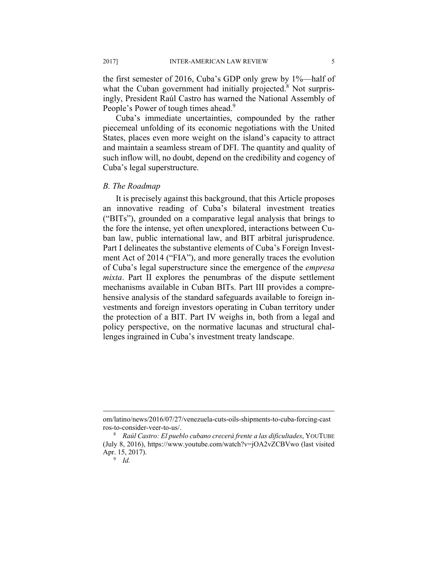the first semester of 2016, Cuba's GDP only grew by 1%—half of what the Cuban government had initially projected.<sup>8</sup> Not surprisingly, President Raúl Castro has warned the National Assembly of People's Power of tough times ahead.<sup>9</sup>

Cuba's immediate uncertainties, compounded by the rather piecemeal unfolding of its economic negotiations with the United States, places even more weight on the island's capacity to attract and maintain a seamless stream of DFI. The quantity and quality of such inflow will, no doubt, depend on the credibility and cogency of Cuba's legal superstructure.

#### *B. The Roadmap*

It is precisely against this background, that this Article proposes an innovative reading of Cuba's bilateral investment treaties ("BITs"), grounded on a comparative legal analysis that brings to the fore the intense, yet often unexplored, interactions between Cuban law, public international law, and BIT arbitral jurisprudence. Part I delineates the substantive elements of Cuba's Foreign Investment Act of 2014 ("FIA"), and more generally traces the evolution of Cuba's legal superstructure since the emergence of the *empresa mixta*. Part II explores the penumbras of the dispute settlement mechanisms available in Cuban BITs. Part III provides a comprehensive analysis of the standard safeguards available to foreign investments and foreign investors operating in Cuban territory under the protection of a BIT. Part IV weighs in, both from a legal and policy perspective, on the normative lacunas and structural challenges ingrained in Cuba's investment treaty landscape.

om/latino/news/2016/07/27/venezuela-cuts-oils-shipments-to-cuba-forcing-cast ros-to-consider-veer-to-us/. 8

*Raúl Castro: El pueblo cubano crecerá frente a las dificultades*, YOUTUBE (July 8, 2016), https://www.youtube.com/watch?v=jOA2vZCBVwo (last visited Apr. 15, 2017).

 $\overline{9}$  *Id.*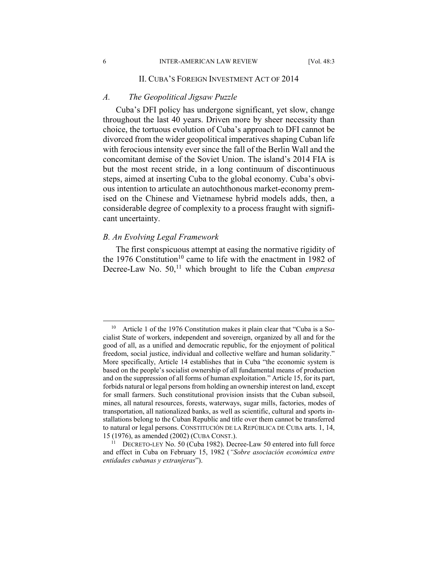#### 6 INTER-AMERICAN LAW REVIEW [Vol. 48:3

#### II. CUBA'S FOREIGN INVESTMENT ACT OF 2014

#### *A. The Geopolitical Jigsaw Puzzle*

Cuba's DFI policy has undergone significant, yet slow, change throughout the last 40 years. Driven more by sheer necessity than choice, the tortuous evolution of Cuba's approach to DFI cannot be divorced from the wider geopolitical imperatives shaping Cuban life with ferocious intensity ever since the fall of the Berlin Wall and the concomitant demise of the Soviet Union. The island's 2014 FIA is but the most recent stride, in a long continuum of discontinuous steps, aimed at inserting Cuba to the global economy. Cuba's obvious intention to articulate an autochthonous market-economy premised on the Chinese and Vietnamese hybrid models adds, then, a considerable degree of complexity to a process fraught with significant uncertainty.

# *B. An Evolving Legal Framework*

The first conspicuous attempt at easing the normative rigidity of the 1976 Constitution<sup>10</sup> came to life with the enactment in 1982 of Decree-Law No. 50,<sup>11</sup> which brought to life the Cuban *empresa* 

Article 1 of the 1976 Constitution makes it plain clear that "Cuba is a Socialist State of workers, independent and sovereign, organized by all and for the good of all, as a unified and democratic republic, for the enjoyment of political freedom, social justice, individual and collective welfare and human solidarity." More specifically, Article 14 establishes that in Cuba "the economic system is based on the people's socialist ownership of all fundamental means of production and on the suppression of all forms of human exploitation." Article 15, for its part, forbids natural or legal persons from holding an ownership interest on land, except for small farmers. Such constitutional provision insists that the Cuban subsoil, mines, all natural resources, forests, waterways, sugar mills, factories, modes of transportation, all nationalized banks, as well as scientific, cultural and sports installations belong to the Cuban Republic and title over them cannot be transferred to natural or legal persons. CONSTITUCIÓN DE LA REPÚBLICA DE CUBA arts. 1, 14,

<sup>15 (1976),</sup> as amended (2002) (CUBA CONST.). 11 DECRETO-LEY No. 50 (Cuba 1982). Decree-Law 50 entered into full force and effect in Cuba on February 15, 1982 (*"Sobre asociación económica entre entidades cubanas y extranjeras*").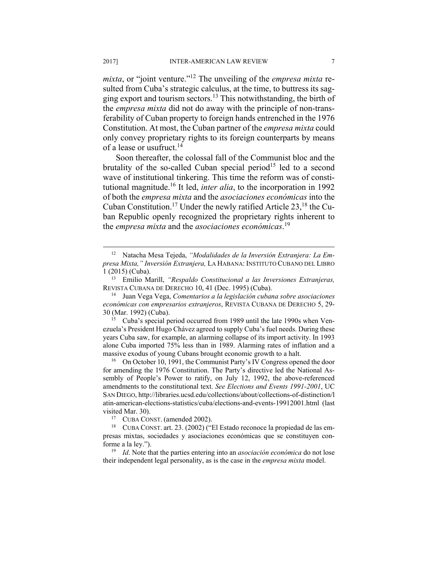*mixta*, or "joint venture."12 The unveiling of the *empresa mixta* resulted from Cuba's strategic calculus, at the time, to buttress its sagging export and tourism sectors.13 This notwithstanding, the birth of the *empresa mixta* did not do away with the principle of non-transferability of Cuban property to foreign hands entrenched in the 1976 Constitution. At most, the Cuban partner of the *empresa mixta* could only convey proprietary rights to its foreign counterparts by means of a lease or usufruct.<sup>14</sup>

Soon thereafter, the colossal fall of the Communist bloc and the brutality of the so-called Cuban special period<sup>15</sup> led to a second wave of institutional tinkering. This time the reform was of constitutional magnitude.16 It led, *inter alia*, to the incorporation in 1992 of both the *empresa mixta* and the *asociaciones económicas* into the Cuban Constitution.<sup>17</sup> Under the newly ratified Article  $23$ ,<sup>18</sup> the Cuban Republic openly recognized the proprietary rights inherent to the *empresa mixta* and the *asociaciones económicas*. 19

30 (Mar. 1992) (Cuba). 15 Cuba's special period occurred from 1989 until the late 1990s when Venezuela's President Hugo Chávez agreed to supply Cuba's fuel needs. During these years Cuba saw, for example, an alarming collapse of its import activity. In 1993 alone Cuba imported 75% less than in 1989. Alarming rates of inflation and a massive exodus of young Cubans brought economic growth to a halt.<br><sup>16</sup> On October 10, 1991, the Communist Party's IV Congress opened the door

for amending the 1976 Constitution. The Party's directive led the National Assembly of People's Power to ratify, on July 12, 1992, the above-referenced amendments to the constitutional text. *See Elections and Events 1991-2001*, UC SAN DIEGO, http://libraries.ucsd.edu/collections/about/collections-of-distinction/l atin-american-elections-statistics/cuba/elections-and-events-19912001.html (last visited Mar. 30).<br><sup>17</sup> CUBA CONST. (amended 2002).<br><sup>18</sup> CUBA CONST. art. 23. (2002) ("El Estado reconoce la propiedad de las em-

 <sup>12</sup> Natacha Mesa Tejeda, *"Modalidades de la Inversión Extranjera: La Empresa Mixta," Inversión Extranjera,* LA HABANA: INSTITUTO CUBANO DEL LIBRO 1 (2015) (Cuba). 13 Emilio Marill, *"Respaldo Constitucional a las Inversiones Extranjeras,*

REVISTA CUBANA DE DERECHO 10, 41 (Dec. 1995) (Cuba). 14 Juan Vega Vega, *Comentarios a la legislación cubana sobre asociaciones* 

*económicas con empresarios extranjeros*, REVISTA CUBANA DE DERECHO 5, 29-

presas mixtas, sociedades y asociaciones económicas que se constituyen conforme a la ley."). 19 *Id*. Note that the parties entering into an *asociación económica* do not lose

their independent legal personality, as is the case in the *empresa mixta* model.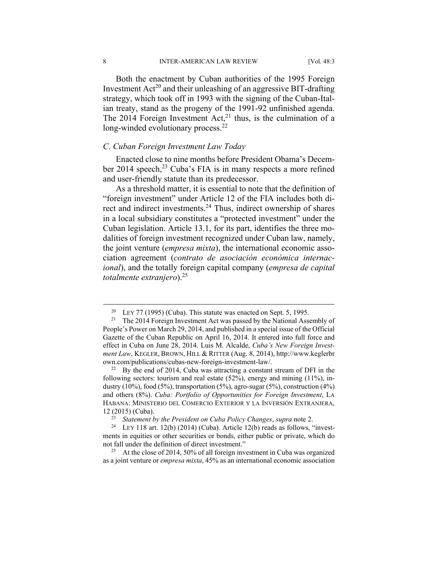8 INTER-AMERICAN LAW REVIEW [Vol. 48:3

Both the enactment by Cuban authorities of the 1995 Foreign Investment  $Act^{20}$  and their unleashing of an aggressive BIT-drafting strategy, which took off in 1993 with the signing of the Cuban-Italian treaty, stand as the progeny of the 1991-92 unfinished agenda. The 2014 Foreign Investment Act, $^{21}$  thus, is the culmination of a long-winded evolutionary process.<sup>22</sup>

# *C. Cuban Foreign Investment Law Today*

Enacted close to nine months before President Obama's December 2014 speech,<sup>23</sup> Cuba's FIA is in many respects a more refined and user-friendly statute than its predecessor.

As a threshold matter, it is essential to note that the definition of "foreign investment" under Article 12 of the FIA includes both direct and indirect investments.24 Thus, indirect ownership of shares in a local subsidiary constitutes a "protected investment" under the Cuban legislation. Article 13.1, for its part, identifies the three modalities of foreign investment recognized under Cuban law, namely, the joint venture (*empresa mixta*), the international economic association agreement (*contrato de asociación económica internacional*), and the totally foreign capital company (*empresa de capital totalmente extranjero*).25

<sup>&</sup>lt;sup>20</sup> LEY 77 (1995) (Cuba). This statute was enacted on Sept. 5, 1995.<br><sup>21</sup> The 2014 Foreign Investment Act was passed by the National Assembly of

People's Power on March 29, 2014, and published in a special issue of the Official Gazette of the Cuban Republic on April 16, 2014. It entered into full force and effect in Cuba on June 28, 2014. Luis M. Alcalde, *Cuba's New Foreign Investment Law*, KEGLER, BROWN, HILL & RITTER (Aug. 8, 2014), http://www.keglerbr own.com/publications/cubas-new-foreign-investment-law/. 22 By the end of 2014, Cuba was attracting a constant stream of DFI in the

following sectors: tourism and real estate (52%), energy and mining (11%), industry  $(10\%)$ , food  $(5\%)$ , transportation  $(5\%)$ , agro-sugar  $(5\%)$ , construction  $(4\%)$ and others (8%). *Cuba: Portfolio of Opportunities for Foreign Investment*, LA HABANA: MINISTERIO DEL COMERCIO EXTERIOR Y LA INVERSIÓN EXTRANJERA, 12 (2015) (Cuba).<br><sup>23</sup> Statement by the President on Cuba Policy Changes, *supra* note 2.<br><sup>24</sup> LEY 118 art. 12(b) (2014) (Cuba). Article 12(b) reads as follows, "invest-

ments in equities or other securities or bonds, either public or private, which do not fall under the definition of direct investment."<br><sup>25</sup> At the close of 2014, 50% of all foreign investment in Cuba was organized

as a joint venture or *empresa mixta*, 45% as an international economic association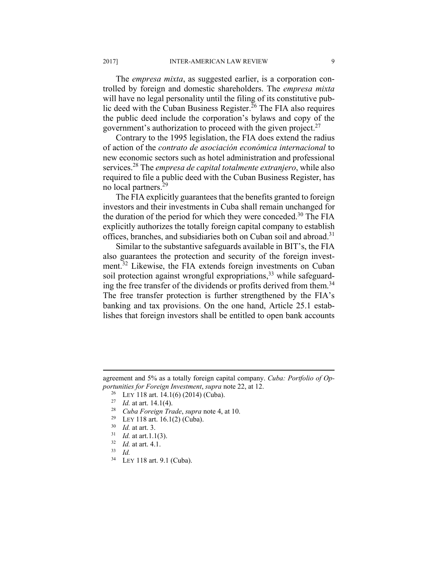The *empresa mixta*, as suggested earlier, is a corporation controlled by foreign and domestic shareholders. The *empresa mixta* will have no legal personality until the filing of its constitutive public deed with the Cuban Business Register.<sup>26</sup> The FIA also requires the public deed include the corporation's bylaws and copy of the government's authorization to proceed with the given project.<sup>27</sup>

Contrary to the 1995 legislation, the FIA does extend the radius of action of the *contrato de asociación económica internacional* to new economic sectors such as hotel administration and professional services.28 The *empresa de capital totalmente extranjero*, while also required to file a public deed with the Cuban Business Register, has no local partners.29

The FIA explicitly guarantees that the benefits granted to foreign investors and their investments in Cuba shall remain unchanged for the duration of the period for which they were conceded.<sup>30</sup> The FIA explicitly authorizes the totally foreign capital company to establish offices, branches, and subsidiaries both on Cuban soil and abroad.<sup>31</sup>

Similar to the substantive safeguards available in BIT's, the FIA also guarantees the protection and security of the foreign investment.<sup>32</sup> Likewise, the FIA extends foreign investments on Cuban soil protection against wrongful expropriations,<sup>33</sup> while safeguarding the free transfer of the dividends or profits derived from them.<sup>34</sup> The free transfer protection is further strengthened by the FIA's banking and tax provisions. On the one hand, Article 25.1 establishes that foreign investors shall be entitled to open bank accounts

- 
- 
- 
- 
- 
- 

 $\overline{a}$ 

34 LEY 118 art. 9.1 (Cuba).

agreement and 5% as a totally foreign capital company. *Cuba: Portfolio of Op*portunities for Foreign Investment, supra note 22, at 12.<br>
<sup>26</sup> LEY 118 art. 14.1(6) (2014) (Cuba).<br>
<sup>27</sup> Id. at art. 14.1(4).<br>
<sup>28</sup> Cuba Foreign Trade, supra note 4, at 10.<br>
<sup>29</sup> LEY 118 art. 16.1(2) (Cuba).<br>
<sup>30</sup> Id. at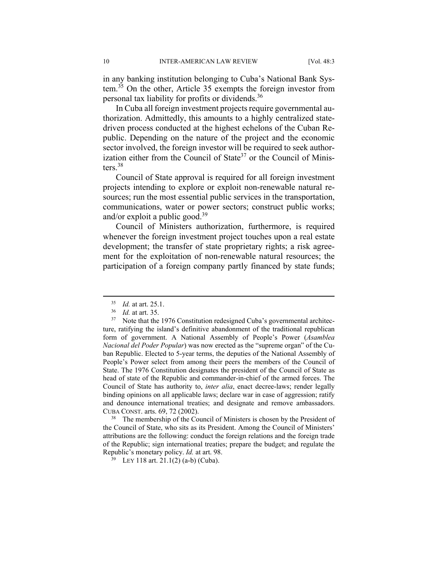in any banking institution belonging to Cuba's National Bank System.35 On the other, Article 35 exempts the foreign investor from personal tax liability for profits or dividends.36

In Cuba all foreign investment projects require governmental authorization. Admittedly, this amounts to a highly centralized statedriven process conducted at the highest echelons of the Cuban Republic. Depending on the nature of the project and the economic sector involved, the foreign investor will be required to seek authorization either from the Council of State $37$  or the Council of Ministers.38

Council of State approval is required for all foreign investment projects intending to explore or exploit non-renewable natural resources; run the most essential public services in the transportation, communications, water or power sectors; construct public works; and/or exploit a public good. $39$ 

Council of Ministers authorization, furthermore, is required whenever the foreign investment project touches upon a real estate development; the transfer of state proprietary rights; a risk agreement for the exploitation of non-renewable natural resources; the participation of a foreign company partly financed by state funds;

the Council of State, who sits as its President. Among the Council of Ministers' attributions are the following: conduct the foreign relations and the foreign trade of the Republic; sign international treaties; prepare the budget; and regulate the Republic's monetary policy. *Id.* at art. 98.<br><sup>39</sup> LEY 118 art. 21.1(2) (a-b) (Cuba).

<sup>&</sup>lt;sup>35</sup> *Id.* at art. 25.1.<br><sup>36</sup> *Id.* at art. 35.<br><sup>37</sup> Note that the 1976 Constitution redesigned Cuba's governmental architecture, ratifying the island's definitive abandonment of the traditional republican form of government. A National Assembly of People's Power (*Asamblea Nacional del Poder Popular*) was now erected as the "supreme organ" of the Cuban Republic. Elected to 5-year terms, the deputies of the National Assembly of People's Power select from among their peers the members of the Council of State. The 1976 Constitution designates the president of the Council of State as head of state of the Republic and commander-in-chief of the armed forces. The Council of State has authority to, *inter alia*, enact decree-laws; render legally binding opinions on all applicable laws; declare war in case of aggression; ratify and denounce international treaties; and designate and remove ambassadors. CUBA CONST. arts. 69, 72 (2002). 38 The membership of the Council of Ministers is chosen by the President of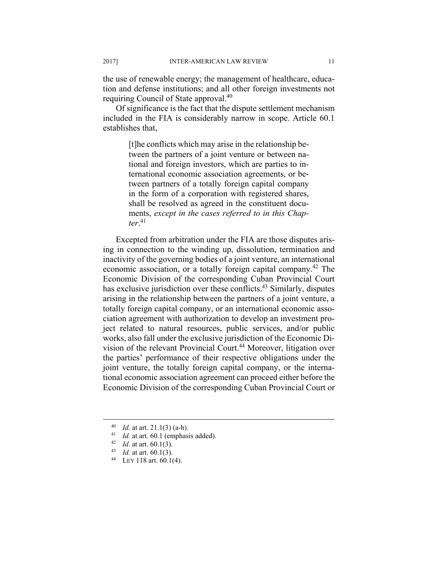the use of renewable energy; the management of healthcare, education and defense institutions; and all other foreign investments not requiring Council of State approval.40

Of significance is the fact that the dispute settlement mechanism included in the FIA is considerably narrow in scope. Article 60.1 establishes that,

> [t]he conflicts which may arise in the relationship between the partners of a joint venture or between national and foreign investors, which are parties to international economic association agreements, or between partners of a totally foreign capital company in the form of a corporation with registered shares, shall be resolved as agreed in the constituent documents, *except in the cases referred to in this Chapter*. 41

Excepted from arbitration under the FIA are those disputes arising in connection to the winding up, dissolution, termination and inactivity of the governing bodies of a joint venture, an international economic association, or a totally foreign capital company.<sup>42</sup> The Economic Division of the corresponding Cuban Provincial Court has exclusive jurisdiction over these conflicts.<sup>43</sup> Similarly, disputes arising in the relationship between the partners of a joint venture, a totally foreign capital company, or an international economic association agreement with authorization to develop an investment project related to natural resources, public services, and/or public works, also fall under the exclusive jurisdiction of the Economic Division of the relevant Provincial Court.<sup>44</sup> Moreover, litigation over the parties' performance of their respective obligations under the joint venture, the totally foreign capital company, or the international economic association agreement can proceed either before the Economic Division of the corresponding Cuban Provincial Court or

<sup>40</sup> *Id.* at art. 21.1(3) (a-h).<br>
41 *Id.* at art. 60.1 (emphasis added).<br>
42 *Id.* at art. 60.1(3).<br>
43 *Id.* at art. 60.1(3).<br>
44 LEY 118 art. 60.1(4).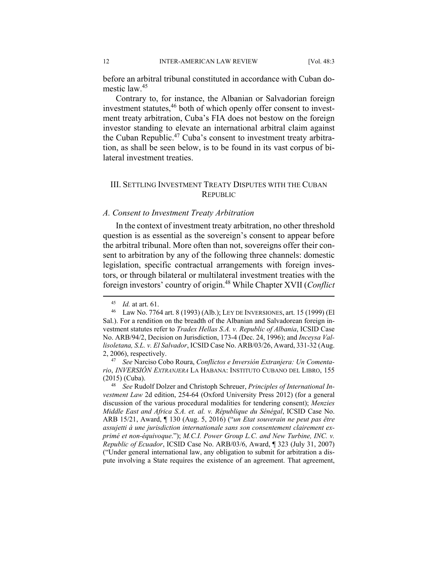before an arbitral tribunal constituted in accordance with Cuban domestic law.<sup>45</sup>

Contrary to, for instance, the Albanian or Salvadorian foreign investment statutes,<sup>46</sup> both of which openly offer consent to investment treaty arbitration, Cuba's FIA does not bestow on the foreign investor standing to elevate an international arbitral claim against the Cuban Republic.<sup>47</sup> Cuba's consent to investment treaty arbitration, as shall be seen below, is to be found in its vast corpus of bilateral investment treaties.

# III. SETTLING INVESTMENT TREATY DISPUTES WITH THE CUBAN **REPUBLIC**

#### *A. Consent to Investment Treaty Arbitration*

In the context of investment treaty arbitration, no other threshold question is as essential as the sovereign's consent to appear before the arbitral tribunal. More often than not, sovereigns offer their consent to arbitration by any of the following three channels: domestic legislation, specific contractual arrangements with foreign investors, or through bilateral or multilateral investment treaties with the foreign investors' country of origin.48 While Chapter XVII (*Conflict* 

<sup>45</sup> *Id.* at art. 61. 46 Law No. 7764 art. 8 (1993) (Alb.); LEY DE INVERSIONES, art. 15 (1999) (El Sal.). For a rendition on the breadth of the Albanian and Salvadorean foreign investment statutes refer to *Tradex Hellas S.A. v. Republic of Albania*, ICSID Case No. ARB/94/2, Decision on Jurisdiction, 173-4 (Dec. 24, 1996); and *Inceysa Vallisoletana, S.L. v. El Salvador*, ICSID Case No. ARB/03/26, Award, 331-32 (Aug.

<sup>2, 2006),</sup> respectively. 47 *See* Narciso Cobo Roura, *Conflictos e Inversión Extranjera: Un Comentario*, *INVERSIÓN EXTRANJERA* LA HABANA: INSTITUTO CUBANO DEL LIBRO, 155 (2015) (Cuba). 48 *See* Rudolf Dolzer and Christoph Schreuer, *Principles of International In-*

*vestment Law* 2d edition, 254-64 (Oxford University Press 2012) (for a general discussion of the various procedural modalities for tendering consent); *Menzies Middle East and Africa S.A. et. al. v. République du Sénégal*, ICSID Case No. ARB 15/21, Award, ¶ 130 (Aug. 5, 2016) ("*un Etat souverain ne peut pas être assujetti à une jurisdiction internationale sans son consentement clairement exprimé et non-équivoque*."); *M.C.I. Power Group L.C. and New Turbine, INC. v. Republic of Ecuador*, ICSID Case No. ARB/03/6, Award, ¶ 323 (July 31, 2007) ("Under general international law, any obligation to submit for arbitration a dispute involving a State requires the existence of an agreement. That agreement,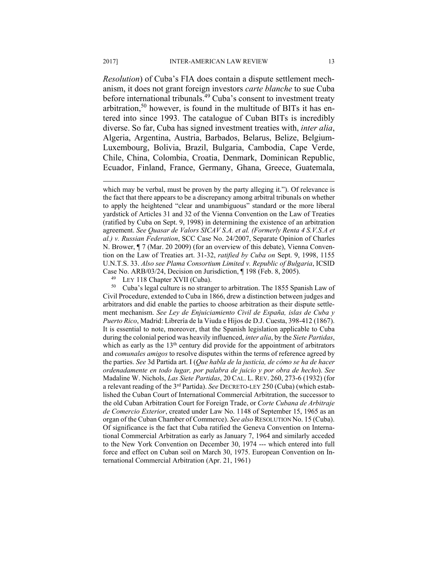*Resolution*) of Cuba's FIA does contain a dispute settlement mechanism, it does not grant foreign investors *carte blanche* to sue Cuba before international tribunals.<sup>49</sup> Cuba's consent to investment treaty arbitration,<sup>50</sup> however, is found in the multitude of BITs it has entered into since 1993. The catalogue of Cuban BITs is incredibly diverse. So far, Cuba has signed investment treaties with, *inter alia*, Algeria, Argentina, Austria, Barbados, Belarus, Belize, Belgium-Luxembourg, Bolivia, Brazil, Bulgaria, Cambodia, Cape Verde, Chile, China, Colombia, Croatia, Denmark, Dominican Republic, Ecuador, Finland, France, Germany, Ghana, Greece, Guatemala,

Civil Procedure, extended to Cuba in 1866, drew a distinction between judges and arbitrators and did enable the parties to choose arbitration as their dispute settlement mechanism. *See Ley de Enjuiciamiento Civil de España, islas de Cuba y Puerto Rico*, Madrid: Librería de la Viuda e Hijos de D.J. Cuesta, 398-412 (1867). It is essential to note, moreover, that the Spanish legislation applicable to Cuba during the colonial period was heavily influenced, *inter alia*, by the *Siete Partidas*, which as early as the 13<sup>th</sup> century did provide for the appointment of arbitrators and *comunales amigos* to resolve disputes within the terms of reference agreed by the parties. *See* 3d Partida art. I (*Que habla de la justicia, de cómo se ha de hacer ordenadamente en todo lugar, por palabra de juicio y por obra de hecho*). *See*  Madaline W. Nichols, *Las Siete Partidas*, 20 CAL. L. REV. 260, 273-6 (1932) (for a relevant reading of the 3rd Partida). *See* DECRETO-LEY 250 (Cuba) (which established the Cuban Court of International Commercial Arbitration, the successor to the old Cuban Arbitration Court for Foreign Trade, or *Corte Cubana de Arbitraje de Comercio Exterior*, created under Law No. 1148 of September 15, 1965 as an organ of the Cuban Chamber of Commerce). *See also* RESOLUTION No. 15 (Cuba). Of significance is the fact that Cuba ratified the Geneva Convention on International Commercial Arbitration as early as January 7, 1964 and similarly acceded to the New York Convention on December 30, 1974 --- which entered into full force and effect on Cuban soil on March 30, 1975. European Convention on International Commercial Arbitration (Apr. 21, 1961)

which may be verbal, must be proven by the party alleging it."). Of relevance is the fact that there appears to be a discrepancy among arbitral tribunals on whether to apply the heightened "clear and unambiguous" standard or the more liberal yardstick of Articles 31 and 32 of the Vienna Convention on the Law of Treaties (ratified by Cuba on Sept. 9, 1998) in determining the existence of an arbitration agreement. *See Quasar de Valors SICAV S.A. et al. (Formerly Renta 4 S.V.S.A et al.) v. Russian Federation*, SCC Case No. 24/2007, Separate Opinion of Charles N. Brower, ¶ 7 (Mar. 20 2009) (for an overview of this debate), Vienna Convention on the Law of Treaties art. 31-32, *ratified by Cuba on* Sept. 9, 1998, 1155 U.N.T.S. 33. *Also see Plama Consortium Limited v. Republic of Bulgaria*, ICSID Case No. ARB/03/24, Decision on Jurisdiction, ¶ 198 (Feb. 8, 2005).<br><sup>49</sup> LEY 118 Chapter XVII (Cuba).<br><sup>50</sup> Cuba's legal culture is no stranger to arbitration. The 1855 Spanish Law of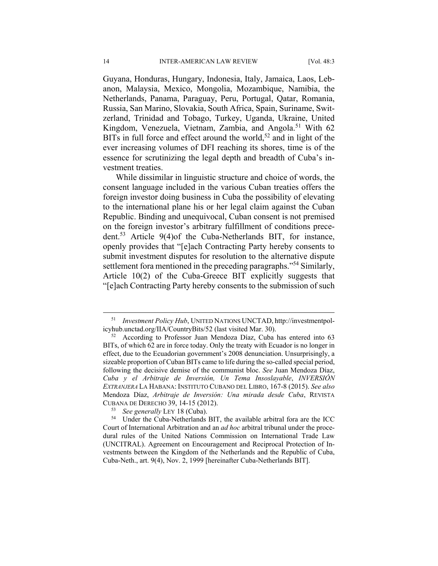Guyana, Honduras, Hungary, Indonesia, Italy, Jamaica, Laos, Lebanon, Malaysia, Mexico, Mongolia, Mozambique, Namibia, the Netherlands, Panama, Paraguay, Peru, Portugal, Qatar, Romania, Russia, San Marino, Slovakia, South Africa, Spain, Suriname, Switzerland, Trinidad and Tobago, Turkey, Uganda, Ukraine, United Kingdom, Venezuela, Vietnam, Zambia, and Angola.<sup>51</sup> With 62 BITs in full force and effect around the world,<sup>52</sup> and in light of the ever increasing volumes of DFI reaching its shores, time is of the essence for scrutinizing the legal depth and breadth of Cuba's investment treaties.

While dissimilar in linguistic structure and choice of words, the consent language included in the various Cuban treaties offers the foreign investor doing business in Cuba the possibility of elevating to the international plane his or her legal claim against the Cuban Republic. Binding and unequivocal, Cuban consent is not premised on the foreign investor's arbitrary fulfillment of conditions precedent.53 Article 9(4)of the Cuba-Netherlands BIT, for instance, openly provides that "[e]ach Contracting Party hereby consents to submit investment disputes for resolution to the alternative dispute settlement fora mentioned in the preceding paragraphs."<sup>54</sup> Similarly, Article 10(2) of the Cuba-Greece BIT explicitly suggests that "[e]ach Contracting Party hereby consents to the submission of such

 <sup>51</sup> *Investment Policy Hub*, UNITED NATIONS UNCTAD, http://investmentpolicyhub.unctad.org/IIA/CountryBits/52 (last visited Mar. 30). 52 According to Professor Juan Mendoza Díaz, Cuba has entered into 63

BITs, of which 62 are in force today. Only the treaty with Ecuador is no longer in effect, due to the Ecuadorian government's 2008 denunciation. Unsurprisingly, a sizeable proportion of Cuban BITs came to life during the so-called special period, following the decisive demise of the communist bloc. *See* Juan Mendoza Díaz, *Cuba y el Arbitraje de Inversión, Un Tema Insoslayable*, *INVERSIÓN EXTRANJERA* LA HABANA: INSTITUTO CUBANO DEL LIBRO, 167-8 (2015). *See also*  Mendoza Díaz, *Arbitraje de Inversión: Una mirada desde Cuba*, REVISTA CUBANA DE DERECHO 39, 14-15 (2012). 53 *See generally* LEY 18 (Cuba). 54 Under the Cuba-Netherlands BIT, the available arbitral fora are the ICC

Court of International Arbitration and an *ad hoc* arbitral tribunal under the procedural rules of the United Nations Commission on International Trade Law (UNCITRAL). Agreement on Encouragement and Reciprocal Protection of Investments between the Kingdom of the Netherlands and the Republic of Cuba, Cuba-Neth., art. 9(4), Nov. 2, 1999 [hereinafter Cuba-Netherlands BIT].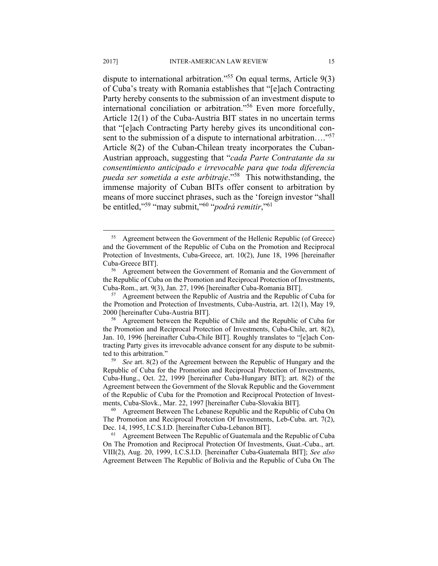dispute to international arbitration."55 On equal terms, Article 9(3) of Cuba's treaty with Romania establishes that "[e]ach Contracting Party hereby consents to the submission of an investment dispute to international conciliation or arbitration."56 Even more forcefully, Article 12(1) of the Cuba-Austria BIT states in no uncertain terms that "[e]ach Contracting Party hereby gives its unconditional consent to the submission of a dispute to international arbitration...."<sup>57</sup> Article 8(2) of the Cuban-Chilean treaty incorporates the Cuban-Austrian approach, suggesting that "*cada Parte Contratante da su consentimiento anticipado e irrevocable para que toda diferencia pueda ser sometida a este arbitraje*."58 This notwithstanding, the immense majority of Cuban BITs offer consent to arbitration by means of more succinct phrases, such as the 'foreign investor "shall be entitled,"59 "may submit,"60 "*podrá remitir*,"61

 <sup>55</sup> Agreement between the Government of the Hellenic Republic (of Greece) and the Government of the Republic of Cuba on the Promotion and Reciprocal Protection of Investments, Cuba-Greece, art. 10(2), June 18, 1996 [hereinafter Cuba-Greece BIT]. 56 Agreement between the Government of Romania and the Government of

the Republic of Cuba on the Promotion and Reciprocal Protection of Investments, Cuba-Rom., art. 9(3), Jan. 27, 1996 [hereinafter Cuba-Romania BIT]. 57 Agreement between the Republic of Austria and the Republic of Cuba for

the Promotion and Protection of Investments, Cuba-Austria, art. 12(1), May 19, 2000 [hereinafter Cuba-Austria BIT]. 58 Agreement between the Republic of Chile and the Republic of Cuba for

the Promotion and Reciprocal Protection of Investments, Cuba-Chile, art. 8(2), Jan. 10, 1996 [hereinafter Cuba-Chile BIT]. Roughly translates to "[e]ach Contracting Party gives its irrevocable advance consent for any dispute to be submitted to this arbitration." 59 *See* art. 8(2) of the Agreement between the Republic of Hungary and the

Republic of Cuba for the Promotion and Reciprocal Protection of Investments, Cuba-Hung., Oct. 22, 1999 [hereinafter Cuba-Hungary BIT]; art. 8(2) of the Agreement between the Government of the Slovak Republic and the Government of the Republic of Cuba for the Promotion and Reciprocal Protection of Investments, Cuba-Slovk., Mar. 22, 1997 [hereinafter Cuba-Slovakia BIT].<br><sup>60</sup> Agreement Between The Lebanese Republic and the Republic of Cuba On

The Promotion and Reciprocal Protection Of Investments, Leb-Cuba. art. 7(2), Dec. 14, 1995, I.C.S.I.D. [hereinafter Cuba-Lebanon BIT]. 61 Agreement Between The Republic of Guatemala and the Republic of Cuba

On The Promotion and Reciprocal Protection Of Investments, Guat.-Cuba., art. VIII(2), Aug. 20, 1999, I.C.S.I.D. [hereinafter Cuba-Guatemala BIT]; *See also*  Agreement Between The Republic of Bolivia and the Republic of Cuba On The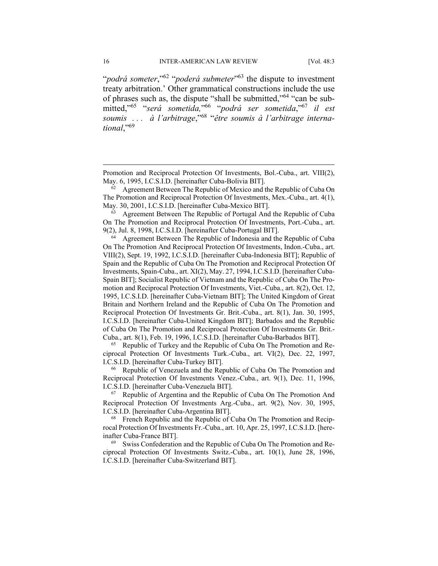"*podrá someter*,"62 "*poderá submeter*"63 the dispute to investment treaty arbitration.' Other grammatical constructions include the use of phrases such as, the dispute "shall be submitted,"64 "can be submitted,"65 "*será sometida,*"66 "*podrá ser sometida*,"67 *il est soumis . . . à l'arbitrage*,"68 "*être soumis à l'arbitrage international*,"69

The Promotion and Reciprocal Protection Of Investments, Mex.-Cuba., art. 4(1),

May. 30, 2001, I.C.S.I.D. [hereinafter Cuba-Mexico BIT].<br><sup>63</sup> Agreement Between The Republic of Portugal And the Republic of Cuba On The Promotion and Reciprocal Protection Of Investments, Port.-Cuba., art.

9(2), Jul. 8, 1998, I.C.S.I.D. [hereinafter Cuba-Portugal BIT]. 64 Agreement Between The Republic of Indonesia and the Republic of Cuba On The Promotion And Reciprocal Protection Of Investments, Indon.-Cuba., art. VIII(2), Sept. 19, 1992, I.C.S.I.D. [hereinafter Cuba-Indonesia BIT]; Republic of Spain and the Republic of Cuba On The Promotion and Reciprocal Protection Of Investments, Spain-Cuba., art. XI(2), May. 27, 1994, I.C.S.I.D. [hereinafter Cuba-Spain BIT]; Socialist Republic of Vietnam and the Republic of Cuba On The Promotion and Reciprocal Protection Of Investments, Viet.-Cuba., art. 8(2), Oct. 12, 1995, I.C.S.I.D. [hereinafter Cuba-Vietnam BIT]; The United Kingdom of Great Britain and Northern Ireland and the Republic of Cuba On The Promotion and Reciprocal Protection Of Investments Gr. Brit.-Cuba., art. 8(1), Jan. 30, 1995, I.C.S.I.D. [hereinafter Cuba-United Kingdom BIT]; Barbados and the Republic of Cuba On The Promotion and Reciprocal Protection Of Investments Gr. Brit.-

Cuba., art. 8(1), Feb. 19, 1996, I.C.S.I.D. [hereinafter Cuba-Barbados BIT].<br><sup>65</sup> Republic of Turkey and the Republic of Cuba On The Promotion and Reciprocal Protection Of Investments Turk.-Cuba., art. VI(2), Dec. 22, 1997, I.C.S.I.D. [hereinafter Cuba-Turkey BIT].<br><sup>66</sup> Republic of Venezuela and the Republic of Cuba On The Promotion and

Reciprocal Protection Of Investments Venez.-Cuba., art. 9(1), Dec. 11, 1996, I.C.S.I.D. [hereinafter Cuba-Venezuela BIT]. 67 Republic of Argentina and the Republic of Cuba On The Promotion And

Reciprocal Protection Of Investments Arg.-Cuba., art. 9(2), Nov. 30, 1995, I.C.S.I.D. [hereinafter Cuba-Argentina BIT].<br><sup>68</sup> French Republic and the Republic of Cuba On The Promotion and Recip-

rocal Protection Of Investments Fr.-Cuba., art. 10, Apr. 25, 1997, I.C.S.I.D. [hereinafter Cuba-France BIT].<br><sup>69</sup> Swiss Confederation and the Republic of Cuba On The Promotion and Re-

ciprocal Protection Of Investments Switz.-Cuba., art. 10(1), June 28, 1996, I.C.S.I.D. [hereinafter Cuba-Switzerland BIT].

Promotion and Reciprocal Protection Of Investments, Bol.-Cuba., art. VIII(2), May. 6, 1995, I.C.S.I.D. [hereinafter Cuba-Bolivia BIT]. 62 Agreement Between The Republic of Mexico and the Republic of Cuba On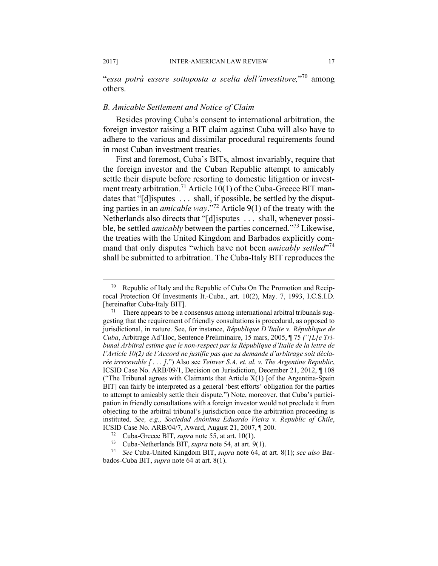"*essa potrà essere sottoposta a scelta dell'investitore,*"70 among others.

# *B. Amicable Settlement and Notice of Claim*

Besides proving Cuba's consent to international arbitration, the foreign investor raising a BIT claim against Cuba will also have to adhere to the various and dissimilar procedural requirements found in most Cuban investment treaties.

First and foremost, Cuba's BITs, almost invariably, require that the foreign investor and the Cuban Republic attempt to amicably settle their dispute before resorting to domestic litigation or investment treaty arbitration.<sup>71</sup> Article 10(1) of the Cuba-Greece BIT mandates that "[d]isputes ... shall, if possible, be settled by the disputing parties in an *amicable way*."72 Article 9(1) of the treaty with the Netherlands also directs that "[d]isputes . . . shall, whenever possible, be settled *amicably* between the parties concerned."73 Likewise, the treaties with the United Kingdom and Barbados explicitly command that only disputes "which have not been *amicably settled*"<sup>74</sup> shall be submitted to arbitration. The Cuba-Italy BIT reproduces the

Republic of Italy and the Republic of Cuba On The Promotion and Reciprocal Protection Of Investments It.-Cuba., art. 10(2), May. 7, 1993, I.C.S.I.D. [hereinafter Cuba-Italy BIT].<br><sup>71</sup> There appears to be a consensus among international arbitral tribunals sug-

gesting that the requirement of friendly consultations is procedural, as opposed to jurisdictional, in nature. See, for instance, *République D'Italie v. République de Cuba*, Arbitrage Ad'Hoc, Sentence Preliminaire, 15 mars, 2005, ¶ 75 *("[L]e Tri*bunal Arbitral estime que le non-respect par la République d'Italie de la lettre de *l'Article 10(2) de l'Accord ne justifie pas que sa demande d'arbitrage soit déclarée irrecevable [ . . . ]*.") Also see *Teinver S.A. et. al. v. The Argentine Republic*, ICSID Case No. ARB/09/1, Decision on Jurisdiction, December 21, 2012, ¶ 108 ("The Tribunal agrees with Claimants that Article  $X(1)$  [of the Argentina-Spain BIT] can fairly be interpreted as a general 'best efforts' obligation for the parties to attempt to amicably settle their dispute.") Note, moreover, that Cuba's participation in friendly consultations with a foreign investor would not preclude it from objecting to the arbitral tribunal's jurisdiction once the arbitration proceeding is instituted. *See, e.g., Sociedad Anónima Eduardo Vieira v. Republic of Chile*,

ICSID Case No. ARB/04/7, Award, August 21, 2007,  $\P$  200.<br><sup>72</sup> Cuba-Greece BIT, *supra* note 55, at art. 10(1).<br><sup>73</sup> Cuba-Netherlands BIT, *supra* note 54, at art. 9(1).<br><sup>74</sup> See Cuba-United Kingdom BIT, *supra* note 64, bados-Cuba BIT, *supra* note 64 at art. 8(1).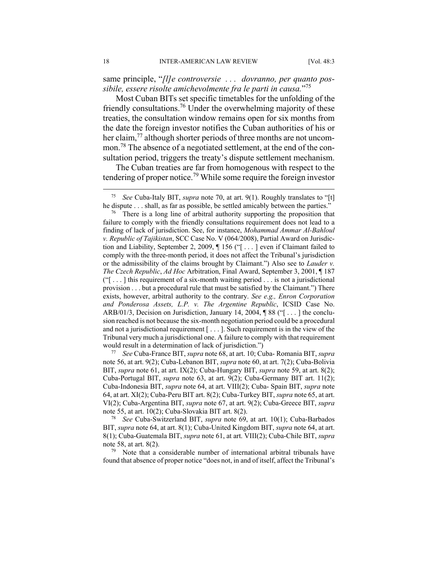same principle, "*[l]e controversie . . . dovranno, per quanto possibile, essere risolte amichevolmente fra le parti in causa.*"75

Most Cuban BITs set specific timetables for the unfolding of the friendly consultations.76 Under the overwhelming majority of these treaties, the consultation window remains open for six months from the date the foreign investor notifies the Cuban authorities of his or her claim,<sup>77</sup> although shorter periods of three months are not uncommon.78 The absence of a negotiated settlement, at the end of the consultation period, triggers the treaty's dispute settlement mechanism.

The Cuban treaties are far from homogenous with respect to the tendering of proper notice.79 While some require the foreign investor

note 56, at art. 9(2); Cuba-Lebanon BIT, *supra* note 60, at art. 7(2); Cuba-Bolivia BIT, *supra* note 61, at art. IX(2); Cuba-Hungary BIT, *supra* note 59, at art. 8(2); Cuba-Portugal BIT, *supra* note 63, at art. 9(2); Cuba-Germany BIT art. 11(2); Cuba-Indonesia BIT, *supra* note 64, at art. VIII(2); Cuba- Spain BIT, *supra* note 64, at art. XI(2); Cuba-Peru BIT art. 8(2); Cuba-Turkey BIT, *supra* note 65, at art. VI(2); Cuba-Argentina BIT, *supra* note 67, at art. 9(2); Cuba-Greece BIT, *supra*  note 55, at art. 10(2); Cuba-Slovakia BIT art. 8(2). 78 *See* Cuba-Switzerland BIT, *supra* note 69, at art. 10(1); Cuba-Barbados

BIT, *supra* note 64, at art. 8(1); Cuba-United Kingdom BIT, *supra* note 64, at art. 8(1); Cuba-Guatemala BIT, *supra* note 61, at art. VIII(2); Cuba-Chile BIT, *supra*  note 58, at art. 8(2).<br><sup>79</sup> Note that a considerable number of international arbitral tribunals have

found that absence of proper notice "does not, in and of itself, affect the Tribunal's

 <sup>75</sup> *See* Cuba-Italy BIT, *supra* note 70, at art. 9(1). Roughly translates to "[t]

he dispute . . . shall, as far as possible, be settled amicably between the parties."<br><sup>76</sup> There is a long line of arbitral authority supporting the proposition that failure to comply with the friendly consultations requirement does not lead to a finding of lack of jurisdiction. See, for instance, *Mohammad Ammar Al-Bahloul v. Republic of Tajikistan*, SCC Case No. V (064/2008), Partial Award on Jurisdiction and Liability, September 2, 2009, ¶ 156 ("[ . . . ] even if Claimant failed to comply with the three-month period, it does not affect the Tribunal's jurisdiction or the admissibility of the claims brought by Claimant.") Also see to *Lauder v. The Czech Republic*, *Ad Hoc* Arbitration, Final Award, September 3, 2001, ¶ 187  $("$ [ . . . ] this requirement of a six-month waiting period . . . is not a jurisdictional provision . . . but a procedural rule that must be satisfied by the Claimant.") There exists, however, arbitral authority to the contrary. *See e.g., Enron Corporation and Ponderosa Assets, L.P. v. The Argentine Republic*, ICSID Case No. ARB/01/3, Decision on Jurisdiction, January 14, 2004,  $\parallel$  88 (" $\parallel$ ...) the conclusion reached is not because the six-month negotiation period could be a procedural and not a jurisdictional requirement [ . . . ]. Such requirement is in the view of the Tribunal very much a jurisdictional one. A failure to comply with that requirement would result in a determination of lack of jurisdiction.") 77 *See* Cuba-France BIT, *supra* note 68, at art. 10; Cuba- Romania BIT, *supra*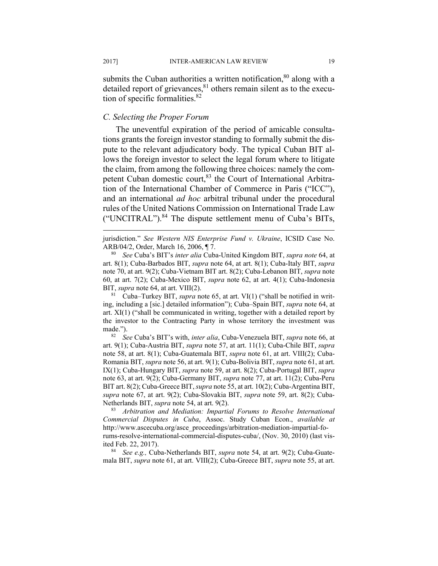submits the Cuban authorities a written notification, $80$  along with a detailed report of grievances, $81$  others remain silent as to the execution of specific formalities. $82$ 

#### *C. Selecting the Proper Forum*

The uneventful expiration of the period of amicable consultations grants the foreign investor standing to formally submit the dispute to the relevant adjudicatory body. The typical Cuban BIT allows the foreign investor to select the legal forum where to litigate the claim, from among the following three choices: namely the competent Cuban domestic court, <sup>83</sup> the Court of International Arbitration of the International Chamber of Commerce in Paris ("ICC"), and an international *ad hoc* arbitral tribunal under the procedural rules of the United Nations Commission on International Trade Law ("UNCITRAL").84 The dispute settlement menu of Cuba's BITs,

art. 8(1); Cuba-Barbados BIT, *supra* note 64, at art. 8(1); Cuba-Italy BIT, *supra*  note 70, at art. 9(2); Cuba-Vietnam BIT art. 8(2); Cuba-Lebanon BIT, *supra* note 60, at art. 7(2); Cuba-Mexico BIT, *supra* note 62, at art. 4(1); Cuba-Indonesia BIT, *supra* note 64, at art. VIII(2).<br><sup>81</sup> Cuba–Turkey BIT, *supra* note 65, at art. VI(1) ("shall be notified in writ-

ing, including a [sic.] detailed information"); Cuba–Spain BIT, *supra* note 64, at art. XI(1) ("shall be communicated in writing, together with a detailed report by the investor to the Contracting Party in whose territory the investment was made."). 82 *See* Cuba's BIT's with, *inter alia*, Cuba-Venezuela BIT, *supra* note 66, at

art. 9(1); Cuba-Austria BIT, *supra* note 57, at art. 11(1); Cuba-Chile BIT, *supra*  note 58, at art. 8(1); Cuba-Guatemala BIT, *supra* note 61, at art. VIII(2); Cuba-Romania BIT, *supra* note 56, at art. 9(1); Cuba-Bolivia BIT, *supra* note 61, at art. IX(1); Cuba-Hungary BIT, *supra* note 59, at art. 8(2); Cuba-Portugal BIT, *supra*  note 63, at art. 9(2); Cuba-Germany BIT, *supra* note 77, at art. 11(2); Cuba-Peru BIT art. 8(2); Cuba-Greece BIT, *supra* note 55, at art. 10(2); Cuba-Argentina BIT, *supra* note 67, at art. 9(2); Cuba-Slovakia BIT, *supra* note 59, art. 8(2); Cuba-Netherlands BIT, *supra* note 54, at art. 9(2). 83 *Arbitration and Mediation: Impartial Forums to Resolve International* 

*Commercial Disputes in Cuba*, Assoc. Study Cuban Econ., *available at* http://www.ascecuba.org/asce\_proceedings/arbitration-mediation-impartial-forums-resolve-international-commercial-disputes-cuba/, (Nov. 30, 2010) (last visited Feb. 22, 2017). 84 *See e.g.,* Cuba-Netherlands BIT, *supra* note 54, at art. 9(2); Cuba-Guate-

mala BIT, *supra* note 61, at art. VIII(2); Cuba-Greece BIT, *supra* note 55, at art.

jurisdiction." *See Western NIS Enterprise Fund v. Ukraine*, ICSID Case No. ARB/04/2, Order, March 16, 2006, ¶ 7. 80 *See* Cuba's BIT's *inter alia* Cuba-United Kingdom BIT, *supra note* 64, at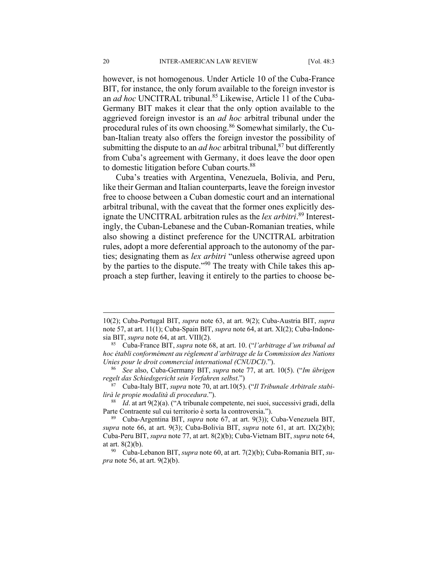however, is not homogenous. Under Article 10 of the Cuba-France BIT, for instance, the only forum available to the foreign investor is an *ad hoc* UNCITRAL tribunal.<sup>85</sup> Likewise, Article 11 of the Cuba-Germany BIT makes it clear that the only option available to the aggrieved foreign investor is an *ad hoc* arbitral tribunal under the procedural rules of its own choosing.86 Somewhat similarly, the Cuban-Italian treaty also offers the foreign investor the possibility of submitting the dispute to an *ad hoc* arbitral tribunal,  $87$  but differently from Cuba's agreement with Germany, it does leave the door open to domestic litigation before Cuban courts.<sup>88</sup>

Cuba's treaties with Argentina, Venezuela, Bolivia, and Peru, like their German and Italian counterparts, leave the foreign investor free to choose between a Cuban domestic court and an international arbitral tribunal, with the caveat that the former ones explicitly designate the UNCITRAL arbitration rules as the *lex arbitri*. 89 Interestingly, the Cuban-Lebanese and the Cuban-Romanian treaties, while also showing a distinct preference for the UNCITRAL arbitration rules, adopt a more deferential approach to the autonomy of the parties; designating them as *lex arbitri* "unless otherwise agreed upon by the parties to the dispute."90 The treaty with Chile takes this approach a step further, leaving it entirely to the parties to choose be-

<sup>10(2);</sup> Cuba-Portugal BIT, *supra* note 63, at art. 9(2); Cuba-Austria BIT, *supra* note 57, at art. 11(1); Cuba-Spain BIT, *supra* note 64, at art. XI(2); Cuba-Indonesia BIT, *supra* note 64, at art. VIII(2). 85 Cuba-France BIT, *supra* note 68, at art. 10. ("*l'arbitrage d'un tribunal ad* 

*hoc établi conformément au réglement d'arbitrage de la Commission des Nations Unies pour le droit commercial international (CNUDCI).*").<br><sup>86</sup> *See* also, Cuba-Germany BIT, *supra* note 77, at art. 10(5). ("*Im übrigen* 

*regelt das Schiedsgericht sein Verfahren selbst*.") 87 Cuba-Italy BIT, *supra* note 70, at art.10(5). ("*Il Tribunale Arbitrale stabi-*

*lirà le propie modalità di procedura*."). 88 *Id*. at art 9(2)(a). ("A tribunale competente, nei suoi, successivi gradi, della

Parte Contraente sul cui territorio è sorta la controversia."). 89 Cuba-Argentina BIT, *supra* note 67, at art. 9(3)); Cuba-Venezuela BIT,

*supra* note 66, at art. 9(3); Cuba-Bolivia BIT, *supra* note 61, at art. IX(2)(b); Cuba-Peru BIT, *supra* note 77, at art. 8(2)(b); Cuba-Vietnam BIT, *supra* note 64, at art. 8(2)(b). 90 Cuba-Lebanon BIT, *supra* note 60, at art. 7(2)(b); Cuba-Romania BIT, *su-*

*pra* note 56, at art. 9(2)(b).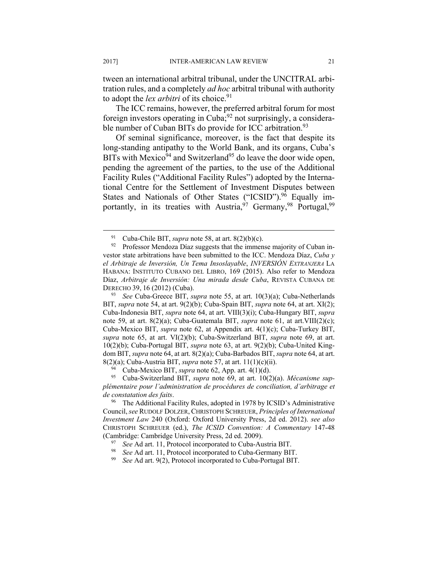tween an international arbitral tribunal, under the UNCITRAL arbitration rules, and a completely *ad hoc* arbitral tribunal with authority to adopt the *lex arbitri* of its choice.<sup>91</sup>

The ICC remains, however, the preferred arbitral forum for most foreign investors operating in Cuba; $^{92}$  not surprisingly, a considerable number of Cuban BITs do provide for ICC arbitration.<sup>93</sup>

Of seminal significance, moreover, is the fact that despite its long-standing antipathy to the World Bank, and its organs, Cuba's BITs with Mexico<sup>94</sup> and Switzerland<sup>95</sup> do leave the door wide open, pending the agreement of the parties, to the use of the Additional Facility Rules ("Additional Facility Rules") adopted by the International Centre for the Settlement of Investment Disputes between States and Nationals of Other States ("ICSID").<sup>96</sup> Equally importantly, in its treaties with Austria,  $97$  Germany,  $98$  Portugal,  $99$ 

*plémentaire pour l'administration de procédures de conciliation, d'arbitrage et de constatation des faits*. 96 The Additional Facility Rules, adopted in 1978 by ICSID's Administrative

<sup>&</sup>lt;sup>91</sup> Cuba-Chile BIT, *supra* note 58, at art. 8(2)(b)(c).<br><sup>92</sup> Professor Mendoza Díaz suggests that the immense majority of Cuban investor state arbitrations have been submitted to the ICC. Mendoza Díaz, *Cuba y el Arbitraje de Inversión, Un Tema Insoslayable*, *INVERSIÓN EXTRANJERA* LA HABANA: INSTITUTO CUBANO DEL LIBRO, 169 (2015). Also refer to Mendoza Díaz, *Arbitraje de Inversión: Una mirada desde Cuba*, REVISTA CUBANA DE DERECHO 39, 16 (2012) (Cuba). 93 *See* Cuba-Greece BIT, *supra* note 55, at art. 10(3)(a); Cuba-Netherlands

BIT, *supra* note 54, at art. 9(2)(b); Cuba-Spain BIT, *supra* note 64, at art. XI(2); Cuba-Indonesia BIT, *supra* note 64, at art. VIII(3)(i); Cuba-Hungary BIT, *supra* note 59, at art. 8(2)(a); Cuba-Guatemala BIT, *supra* note 61, at art.VIII(2)(c); Cuba-Mexico BIT, *supra* note 62, at Appendix art. 4(1)(c); Cuba-Turkey BIT, *supra* note 65, at art. VI(2)(b); Cuba-Switzerland BIT, *supra* note 69, at art. 10(2)(b); Cuba-Portugal BIT, *supra* note 63, at art. 9(2)(b); Cuba-United Kingdom BIT, *supra* note 64, at art. 8(2)(a); Cuba-Barbados BIT, *supra* note 64, at art. 8(2)(a); Cuba-Austria BIT, *supra* note 57, at art. 11(1)(c)(ii). 94 Cuba-Mexico BIT, *supra* note 62, App. art. 4(1)(d). 95 Cuba-Switzerland BIT, *supra* note 69, at art. 10(2)(a). *Mécanisme sup-*

Council, *see* RUDOLF DOLZER, CHRISTOPH SCHREUER, *Principles of International Investment Law* 240 (Oxford: Oxford University Press, 2d ed. 2012). *see also* CHRISTOPH SCHREUER (ed.), *The ICSID Convention: A Commentary* 147-48 (Cambridge: Cambridge University Press, 2d ed. 2009).<br>
<sup>97</sup> See Ad art. 11, Protocol incorporated to Cuba-Austria BIT.<br>
<sup>98</sup> See Ad art. 11, Protocol incorporated to Cuba-Germany BIT.<br>
<sup>99</sup> See Ad art. 9(2), Protocol inco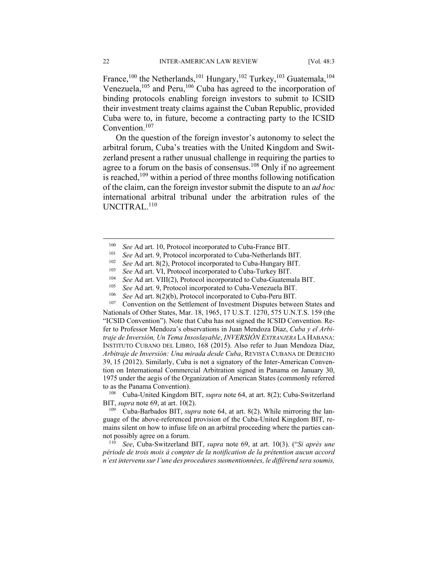France,<sup>100</sup> the Netherlands,<sup>101</sup> Hungary,<sup>102</sup> Turkey,<sup>103</sup> Guatemala,<sup>104</sup> Venezuela,<sup>105</sup> and Peru,<sup>106</sup> Cuba has agreed to the incorporation of binding protocols enabling foreign investors to submit to ICSID their investment treaty claims against the Cuban Republic, provided Cuba were to, in future, become a contracting party to the ICSID Convention.107

On the question of the foreign investor's autonomy to select the arbitral forum, Cuba's treaties with the United Kingdom and Switzerland present a rather unusual challenge in requiring the parties to agree to a forum on the basis of consensus.<sup>108</sup> Only if no agreement is reached, $109$  within a period of three months following notification of the claim, can the foreign investor submit the dispute to an *ad hoc* international arbitral tribunal under the arbitration rules of the UNCITRAL.<sup>110</sup>

Nationals of Other States, Mar. 18, 1965, 17 U.S.T. 1270, 575 U.N.T.S. 159 (the "ICSID Convention"). Note that Cuba has not signed the ICSID Convention. Refer to Professor Mendoza's observations in Juan Mendoza Díaz, *Cuba y el Arbitraje de Inversión, Un Tema Insoslayable*, *INVERSIÓN EXTRANJERA* LA HABANA: INSTITUTO CUBANO DEL LIBRO, 168 (2015). Also refer to Juan Mendoza Díaz, *Arbitraje de Inversión: Una mirada desde Cuba*, REVISTA CUBANA DE DERECHO 39, 15 (2012). Similarly, Cuba is not a signatory of the Inter-American Convention on International Commercial Arbitration signed in Panama on January 30, 1975 under the aegis of the Organization of American States (commonly referred to as the Panama Convention).<br><sup>108</sup> Cuba-United Kingdom BIT, *supra* note 64, at art. 8(2); Cuba-Switzerland

BIT, *supra* note 69, at art. 10(2).<br><sup>109</sup> Cuba-Barbados BIT, *supra* note 64, at art. 8(2). While mirroring the lan-

guage of the above-referenced provision of the Cuba-United Kingdom BIT, remains silent on how to infuse life on an arbitral proceeding where the parties cannot possibly agree on a forum. 110 *See*, Cuba-Switzerland BIT, *supra* note 69, at art. 10(3). ("*Si après une* 

*période de trois mois à compter de la notification de la prétention aucun accord n'est intervenu sur l'une des procedures susmentionnées, le différend sera soumis,* 

<sup>&</sup>lt;sup>100</sup> See Ad art. 10, Protocol incorporated to Cuba-France BIT.<br><sup>101</sup> See Ad art. 9, Protocol incorporated to Cuba-Netherlands BIT.<br><sup>102</sup> See Ad art. 8(2), Protocol incorporated to Cuba-Hungary BIT.<br><sup>103</sup> See Ad art. VI,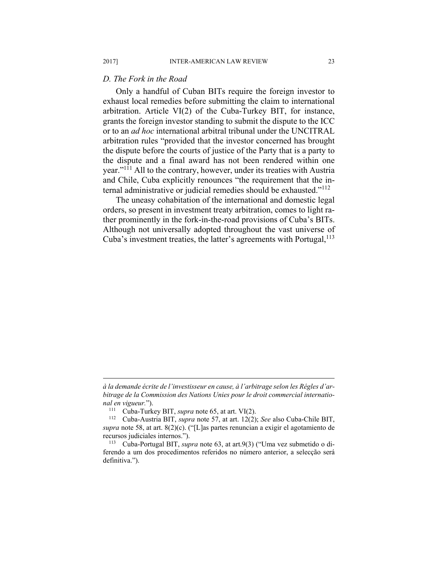# *D. The Fork in the Road*

Only a handful of Cuban BITs require the foreign investor to exhaust local remedies before submitting the claim to international arbitration. Article VI(2) of the Cuba-Turkey BIT, for instance, grants the foreign investor standing to submit the dispute to the ICC or to an *ad hoc* international arbitral tribunal under the UNCITRAL arbitration rules "provided that the investor concerned has brought the dispute before the courts of justice of the Party that is a party to the dispute and a final award has not been rendered within one year."111 All to the contrary, however, under its treaties with Austria and Chile, Cuba explicitly renounces "the requirement that the internal administrative or judicial remedies should be exhausted."<sup>112</sup>

The uneasy cohabitation of the international and domestic legal orders, so present in investment treaty arbitration, comes to light rather prominently in the fork-in-the-road provisions of Cuba's BITs. Although not universally adopted throughout the vast universe of Cuba's investment treaties, the latter's agreements with Portugal,  $^{113}$ 

*à la demande écrite de l'investisseur en cause, à l'arbitrage selon les Régles d'arbitrage de la Commission des Nations Unies pour le droit commercial international en vigueur.*"). 111 Cuba-Turkey BIT, *supra* note 65, at art. VI(2). 112 Cuba-Austria BIT, *supra* note 57, at art. 12(2); *See* also Cuba-Chile BIT,

*supra* note 58, at art. 8(2)(c). ("[L]as partes renuncian a exigir el agotamiento de recursos judiciales internos."). 113 Cuba-Portugal BIT, *supra* note 63, at art.9(3) ("Uma vez submetido o di-

ferendo a um dos procedimentos referidos no número anterior, a selecção será definitiva.").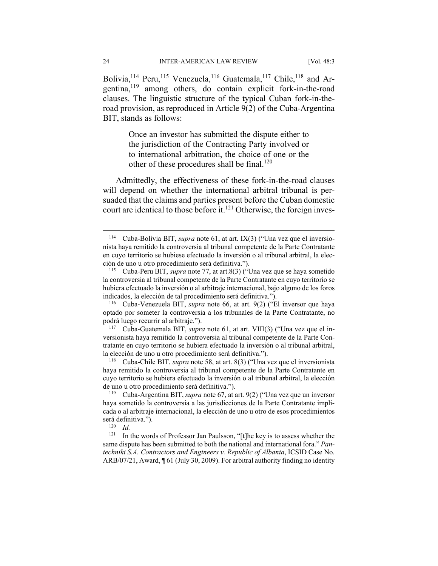Bolivia,<sup>114</sup> Peru,<sup>115</sup> Venezuela,<sup>116</sup> Guatemala,<sup>117</sup> Chile,<sup>118</sup> and Argentina,119 among others, do contain explicit fork-in-the-road clauses. The linguistic structure of the typical Cuban fork-in-theroad provision, as reproduced in Article 9(2) of the Cuba-Argentina BIT, stands as follows:

> Once an investor has submitted the dispute either to the jurisdiction of the Contracting Party involved or to international arbitration, the choice of one or the other of these procedures shall be final.<sup>120</sup>

Admittedly, the effectiveness of these fork-in-the-road clauses will depend on whether the international arbitral tribunal is persuaded that the claims and parties present before the Cuban domestic court are identical to those before it.<sup>121</sup> Otherwise, the foreign inves-

optado por someter la controversia a los tribunales de la Parte Contratante, no podrá luego recurrir al arbitraje."). 117 Cuba-Guatemala BIT, *supra* note 61, at art. VIII(3) ("Una vez que el in-

versionista haya remitido la controversia al tribunal competente de la Parte Contratante en cuyo territorio se hubiera efectuado la inversión o al tribunal arbitral, la elección de uno u otro procedimiento será definitiva."). 118 Cuba-Chile BIT, *supra* note 58, at art. 8(3) ("Una vez que el inversionista

haya remitido la controversia al tribunal competente de la Parte Contratante en cuyo territorio se hubiera efectuado la inversión o al tribunal arbitral, la elección de uno u otro procedimiento será definitiva."). 119 Cuba-Argentina BIT, *supra* note 67, at art. 9(2) ("Una vez que un inversor

<sup>121</sup> In the words of Professor Jan Paulsson, "[t]he key is to assess whether the same dispute has been submitted to both the national and international fora." *Pantechniki S.A. Contractors and Engineers v. Republic of Albania*, ICSID Case No. ARB/07/21, Award, ¶ 61 (July 30, 2009). For arbitral authority finding no identity

1

<sup>114</sup> Cuba-Bolivia BIT, *supra* note 61, at art. IX(3) ("Una vez que el inversionista haya remitido la controversia al tribunal competente de la Parte Contratante en cuyo territorio se hubiese efectuado la inversión o al tribunal arbitral, la elección de uno u otro procedimiento será definitiva."). 115 Cuba-Peru BIT, *supra* note 77, at art.8(3) ("Una vez que se haya sometido

la controversia al tribunal competente de la Parte Contratante en cuyo territorio se hubiera efectuado la inversión o al arbitraje internacional, bajo alguno de los foros indicados, la elección de tal procedimiento será definitiva."). 116 Cuba-Venezuela BIT, *supra* note 66, at art. 9(2) ("El inversor que haya

haya sometido la controversia a las jurisdicciones de la Parte Contratante implicada o al arbitraje internacional, la elección de uno u otro de esos procedimientos será definitiva."). 120 *Id.*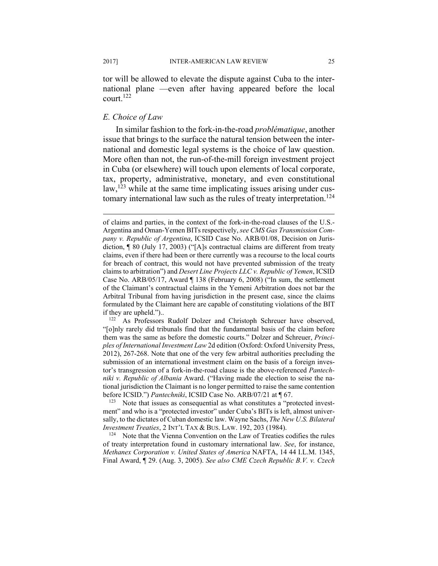tor will be allowed to elevate the dispute against Cuba to the international plane —even after having appeared before the local court.122

#### *E. Choice of Law*

In similar fashion to the fork-in-the-road *problématique*, another issue that brings to the surface the natural tension between the international and domestic legal systems is the choice of law question. More often than not, the run-of-the-mill foreign investment project in Cuba (or elsewhere) will touch upon elements of local corporate, tax, property, administrative, monetary, and even constitutional law,<sup>123</sup> while at the same time implicating issues arising under customary international law such as the rules of treaty interpretation.<sup>124</sup>

"[o]nly rarely did tribunals find that the fundamental basis of the claim before them was the same as before the domestic courts." Dolzer and Schreuer, *Principles of International Investment Law* 2d edition (Oxford: Oxford University Press, 2012), 267-268. Note that one of the very few arbitral authorities precluding the submission of an international investment claim on the basis of a foreign investor's transgression of a fork-in-the-road clause is the above-referenced *Pantechniki v. Republic of Albania* Award. ("Having made the election to seise the national jurisdiction the Claimant is no longer permitted to raise the same contention before ICSID.") *Pantechniki*, ICSID Case No. ARB/07/21 at ¶ 67.

<sup>123</sup> Note that issues as consequential as what constitutes a "protected investment" and who is a "protected investor" under Cuba's BITs is left, almost universally, to the dictates of Cuban domestic law. Wayne Sachs, *The New U.S. Bilateral Investment Treaties*, 2 INT'L TAX & BUS. LAW. 192, 203 (1984).<br><sup>124</sup> Note that the Vienna Convention on the Law of Treaties codifies the rules

of treaty interpretation found in customary international law. *See*, for instance, *Methanex Corporation v. United States of America* NAFTA, 14 44 I.L.M. 1345, Final Award, ¶ 29. (Aug. 3, 2005). *See also CME Czech Republic B.V. v. Czech* 

of claims and parties, in the context of the fork-in-the-road clauses of the U.S.- Argentina and Oman-Yemen BITs respectively, *see CMS Gas Transmission Company v. Republic of Argentina*, ICSID Case No. ARB/01/08, Decision on Jurisdiction, ¶ 80 (July 17, 2003) ("[A]s contractual claims are different from treaty claims, even if there had been or there currently was a recourse to the local courts for breach of contract, this would not have prevented submission of the treaty claims to arbitration") and *Desert Line Projects LLC v. Republic of Yemen*, ICSID Case No. ARB/05/17, Award ¶ 138 (February 6, 2008) ("In sum, the settlement of the Claimant's contractual claims in the Yemeni Arbitration does not bar the Arbitral Tribunal from having jurisdiction in the present case, since the claims formulated by the Claimant here are capable of constituting violations of the BIT if they are upheld.")..<br><sup>122</sup> As Professors Rudolf Dolzer and Christoph Schreuer have observed,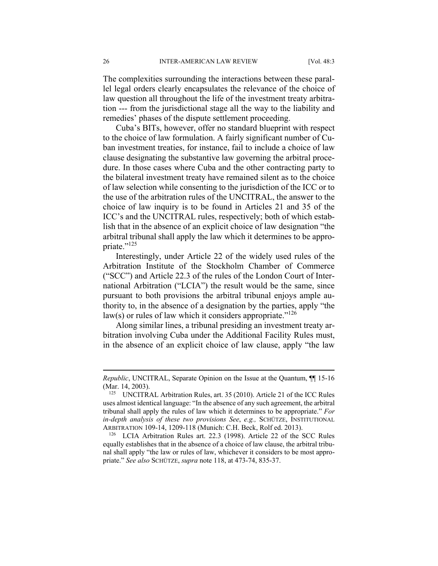The complexities surrounding the interactions between these parallel legal orders clearly encapsulates the relevance of the choice of law question all throughout the life of the investment treaty arbitration --- from the jurisdictional stage all the way to the liability and remedies' phases of the dispute settlement proceeding.

Cuba's BITs, however, offer no standard blueprint with respect to the choice of law formulation. A fairly significant number of Cuban investment treaties, for instance, fail to include a choice of law clause designating the substantive law governing the arbitral procedure. In those cases where Cuba and the other contracting party to the bilateral investment treaty have remained silent as to the choice of law selection while consenting to the jurisdiction of the ICC or to the use of the arbitration rules of the UNCITRAL, the answer to the choice of law inquiry is to be found in Articles 21 and 35 of the ICC's and the UNCITRAL rules, respectively; both of which establish that in the absence of an explicit choice of law designation "the arbitral tribunal shall apply the law which it determines to be appropriate."<sup>125</sup>

Interestingly, under Article 22 of the widely used rules of the Arbitration Institute of the Stockholm Chamber of Commerce ("SCC") and Article 22.3 of the rules of the London Court of International Arbitration ("LCIA") the result would be the same, since pursuant to both provisions the arbitral tribunal enjoys ample authority to, in the absence of a designation by the parties, apply "the law(s) or rules of law which it considers appropriate." $126$ 

Along similar lines, a tribunal presiding an investment treaty arbitration involving Cuba under the Additional Facility Rules must, in the absence of an explicit choice of law clause, apply "the law

*Republic*, UNCITRAL, Separate Opinion on the Issue at the Quantum,  $\P$  15-16 (Mar. 14, 2003).

<sup>&</sup>lt;sup>125</sup> UNCITRAL Arbitration Rules, art. 35 (2010). Article 21 of the ICC Rules uses almost identical language: "In the absence of any such agreement, the arbitral tribunal shall apply the rules of law which it determines to be appropriate." *For in-depth analysis of these two provisions See*, *e.g.,* SCHÜTZE, INSTITUTIONAL ARBITRATION 109-14, 1209-118 (Munich: C.H. Beck, Rolf ed. 2013). 126 LCIA Arbitration Rules art. 22.3 (1998). Article 22 of the SCC Rules

equally establishes that in the absence of a choice of law clause, the arbitral tribunal shall apply "the law or rules of law, whichever it considers to be most appropriate." *See also* SCHÜTZE, *supra* note 118, at 473-74, 835-37.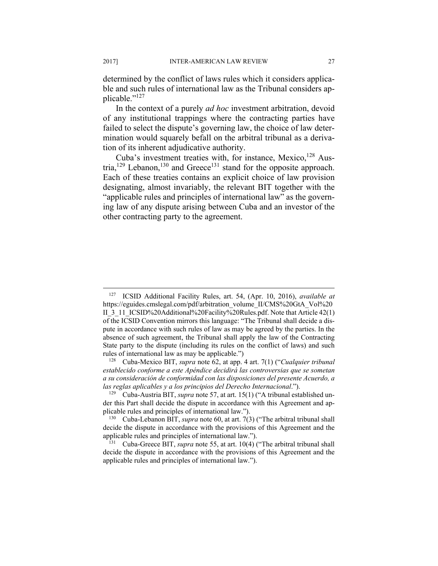determined by the conflict of laws rules which it considers applicable and such rules of international law as the Tribunal considers applicable."127

In the context of a purely *ad hoc* investment arbitration, devoid of any institutional trappings where the contracting parties have failed to select the dispute's governing law, the choice of law determination would squarely befall on the arbitral tribunal as a derivation of its inherent adjudicative authority.

Cuba's investment treaties with, for instance, Mexico, $^{128}$  Austria,  $129$  Lebanon,  $130$  and Greece<sup>131</sup> stand for the opposite approach. Each of these treaties contains an explicit choice of law provision designating, almost invariably, the relevant BIT together with the "applicable rules and principles of international law" as the governing law of any dispute arising between Cuba and an investor of the other contracting party to the agreement.

<sup>127</sup> ICSID Additional Facility Rules, art. 54, (Apr. 10, 2016), *available at*  https://eguides.cmslegal.com/pdf/arbitration\_volume\_II/CMS%20GtA\_Vol%20 II\_3\_11\_ICSID%20Additional%20Facility%20Rules.pdf. Note that Article 42(1) of the ICSID Convention mirrors this language: "The Tribunal shall decide a dispute in accordance with such rules of law as may be agreed by the parties. In the absence of such agreement, the Tribunal shall apply the law of the Contracting State party to the dispute (including its rules on the conflict of laws) and such rules of international law as may be applicable.") 128 Cuba-Mexico BIT, *supra* note 62, at app. 4 art. 7(1) ("*Cualquier tribunal* 

*establecido conforme a este Apéndice decidirá las controversias que se sometan a su consideración de conformidad con las disposiciones del presente Acuerdo, a las reglas aplicables y a los principios del Derecho Internacional*."). 129 Cuba-Austria BIT, *supra* note 57, at art. 15(1) ("A tribunal established un-

der this Part shall decide the dispute in accordance with this Agreement and ap-

plicable rules and principles of international law."). 130 Cuba-Lebanon BIT, *supra* note 60, at art. 7(3) ("The arbitral tribunal shall decide the dispute in accordance with the provisions of this Agreement and the applicable rules and principles of international law."). 131 Cuba-Greece BIT, *supra* note 55, at art. 10(4) ("The arbitral tribunal shall

decide the dispute in accordance with the provisions of this Agreement and the applicable rules and principles of international law.").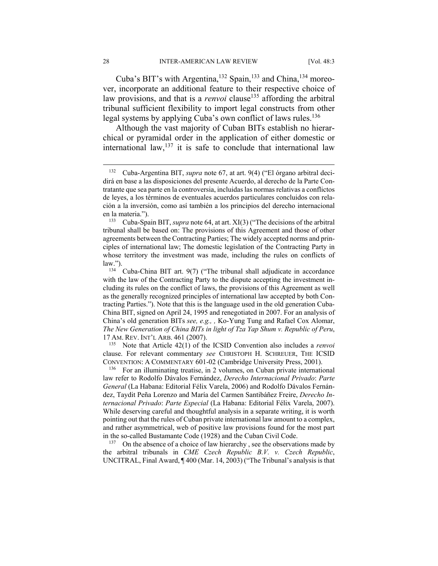Cuba's BIT's with Argentina,<sup>132</sup> Spain,<sup>133</sup> and China,<sup>134</sup> moreover, incorporate an additional feature to their respective choice of law provisions, and that is a *renvoi* clause<sup>135</sup> affording the arbitral tribunal sufficient flexibility to import legal constructs from other legal systems by applying Cuba's own conflict of laws rules.<sup>136</sup>

Although the vast majority of Cuban BITs establish no hierarchical or pyramidal order in the application of either domestic or international law,  $137$  it is safe to conclude that international law

tribunal shall be based on: The provisions of this Agreement and those of other agreements between the Contracting Parties; The widely accepted norms and principles of international law; The domestic legislation of the Contracting Party in whose territory the investment was made, including the rules on conflicts of law."). 134 Cuba-China BIT art. 9(7) ("The tribunal shall adjudicate in accordance

with the law of the Contracting Party to the dispute accepting the investment including its rules on the conflict of laws, the provisions of this Agreement as well as the generally recognized principles of international law accepted by both Contracting Parties."). Note that this is the language used in the old generation Cuba-China BIT, signed on April 24, 1995 and renegotiated in 2007. For an analysis of China's old generation BITs *see, e.g., ,* Ko-Yung Tung and Rafael Cox Alomar, *The New Generation of China BITs in light of Tza Yap Shum v. Republic of Peru*, <sup>17</sup> AM. REV. INT'L ARB. 461 (2007). 135 Note that Article 42(1) of the ICSID Convention also includes a *renvoi* 

clause. For relevant commentary *see* CHRISTOPH H. SCHREUER, THE ICSID CONVENTION: <sup>A</sup> COMMENTARY 601-02 (Cambridge University Press, 2001). 136 For an illuminating treatise, in 2 volumes, on Cuban private international

law refer to Rodolfo Dávalos Fernández, *Derecho Internacional Privado*: *Parte General* (La Habana: Editorial Félix Varela, 2006) and Rodolfo Dávalos Fernández, Taydit Peña Lorenzo and María del Carmen Santibáñez Freire, *Derecho Internacional Privado*: *Parte Especial* (La Habana: Editorial Félix Varela, 2007). While deserving careful and thoughtful analysis in a separate writing, it is worth pointing out that the rules of Cuban private international law amount to a complex, and rather asymmetrical, web of positive law provisions found for the most part in the so-called Bustamante Code (1928) and the Cuban Civil Code.<br><sup>137</sup> On the absence of a choice of law hierarchy, see the observations made by

the arbitral tribunals in *CME Czech Republic B.V. v. Czech Republic*, UNCITRAL, Final Award, ¶ 400 (Mar. 14, 2003) ("The Tribunal's analysis is that

<sup>132</sup> Cuba-Argentina BIT, *supra* note 67, at art. 9(4) ("El órgano arbitral decidirá en base a las disposiciones del presente Acuerdo, al derecho de la Parte Contratante que sea parte en la controversia, incluidas las normas relativas a conflictos de leyes, a los términos de eventuales acuerdos particulares concluidos con relación a la inversión, como así también a los principios del derecho internacional en la materia."). 133 Cuba-Spain BIT, *supra* note 64, at art. XI(3) ("The decisions of the arbitral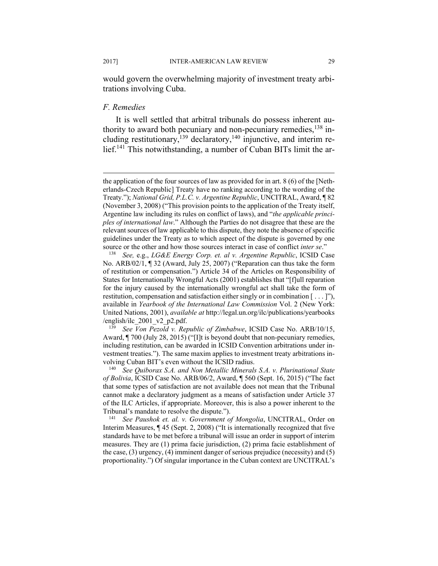would govern the overwhelming majority of investment treaty arbitrations involving Cuba.

# *F. Remedies*

It is well settled that arbitral tribunals do possess inherent authority to award both pecuniary and non-pecuniary remedies, $138$  including restitutionary,<sup>139</sup> declaratory,<sup>140</sup> injunctive, and interim relief.<sup>141</sup> This notwithstanding, a number of Cuban BITs limit the ar-

Award, ¶ 700 (July 28, 2015) ("[I]t is beyond doubt that non-pecuniary remedies, including restitution, can be awarded in ICSID Convention arbitrations under investment treaties."). The same maxim applies to investment treaty arbitrations involving Cuban BIT's even without the ICSID radius. 140 *See Quiborax S.A. and Non Metallic Minerals S.A. v. Plurinational State* 

*of Bolivia*, ICSID Case No. ARB/06/2, Award, ¶ 560 (Sept. 16, 2015) ("The fact that some types of satisfaction are not available does not mean that the Tribunal cannot make a declaratory judgment as a means of satisfaction under Article 37 of the ILC Articles, if appropriate. Moreover, this is also a power inherent to the Tribunal's mandate to resolve the dispute."). 141 *See Paushok et. al. v. Government of Mongolia*, UNCITRAL, Order on

Interim Measures, ¶ 45 (Sept. 2, 2008) ("It is internationally recognized that five standards have to be met before a tribunal will issue an order in support of interim measures. They are (1) prima facie jurisdiction, (2) prima facie establishment of the case, (3) urgency, (4) imminent danger of serious prejudice (necessity) and (5) proportionality.") Of singular importance in the Cuban context are UNCITRAL's

the application of the four sources of law as provided for in art. 8 (6) of the [Netherlands-Czech Republic] Treaty have no ranking according to the wording of the Treaty."); *National Grid, P.L.C. v. Argentine Republic*, UNCITRAL, Award, ¶ 82 (November 3, 2008) ("This provision points to the application of the Treaty itself, Argentine law including its rules on conflict of laws), and "*the applicable principles of international law*." Although the Parties do not disagree that these are the relevant sources of law applicable to this dispute, they note the absence of specific guidelines under the Treaty as to which aspect of the dispute is governed by one source or the other and how those sources interact in case of conflict *inter se*."<br><sup>138</sup> See, e.g., *LG&E Energy Corp. et. al v. Argentine Republic*, ICSID Case

No. ARB/02/1, ¶ 32 (Award, July 25, 2007) ("Reparation can thus take the form of restitution or compensation.") Article 34 of the Articles on Responsibility of States for Internationally Wrongful Acts (2001) establishes that "[f]ull reparation for the injury caused by the internationally wrongful act shall take the form of restitution, compensation and satisfaction either singly or in combination [ . . . ]"), available in *Yearbook of the International Law Commission* Vol. 2 (New York: United Nations, 2001), *available at* http://legal.un.org/ilc/publications/yearbooks /english/ilc\_2001\_v2\_p2.pdf. 139 *See Von Pezold v. Republic of Zimbabwe*, ICSID Case No. ARB/10/15,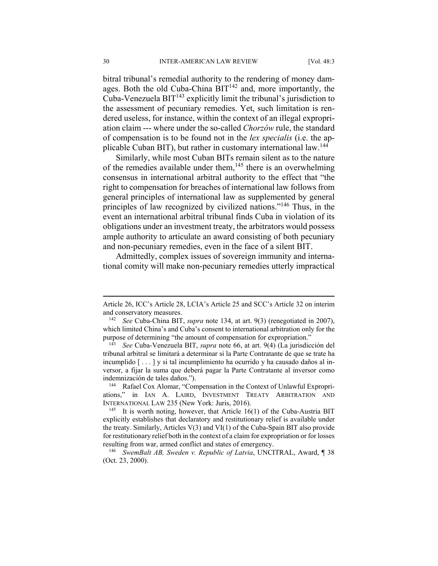bitral tribunal's remedial authority to the rendering of money damages. Both the old Cuba-China  $BIT<sup>142</sup>$  and, more importantly, the Cuba-Venezuela  $BIT^{143}$  explicitly limit the tribunal's jurisdiction to the assessment of pecuniary remedies. Yet, such limitation is rendered useless, for instance, within the context of an illegal expropriation claim --- where under the so-called *Chorzów* rule, the standard of compensation is to be found not in the *lex specialis* (i.e. the applicable Cuban BIT), but rather in customary international law.144

Similarly, while most Cuban BITs remain silent as to the nature of the remedies available under them, $145$  there is an overwhelming consensus in international arbitral authority to the effect that "the right to compensation for breaches of international law follows from general principles of international law as supplemented by general principles of law recognized by civilized nations."146 Thus, in the event an international arbitral tribunal finds Cuba in violation of its obligations under an investment treaty, the arbitrators would possess ample authority to articulate an award consisting of both pecuniary and non-pecuniary remedies, even in the face of a silent BIT.

Admittedly, complex issues of sovereign immunity and international comity will make non-pecuniary remedies utterly impractical

<u>.</u>

Article 26, ICC's Article 28, LCIA's Article 25 and SCC's Article 32 on interim and conservatory measures. 142 *See* Cuba-China BIT, *supra* note 134, at art. 9(3) (renegotiated in 2007),

which limited China's and Cuba's consent to international arbitration only for the purpose of determining "the amount of compensation for expropriation." 143 *See* Cuba-Venezuela BIT, *supra* note 66, at art. 9(4) (La jurisdicción del

tribunal arbitral se limitará a determinar si la Parte Contratante de que se trate ha incumplido [ . . . ] y si tal incumplimiento ha ocurrido y ha causado daños al inversor, a fijar la suma que deberá pagar la Parte Contratante al inversor como indemnización de tales daños.").<br><sup>144</sup> Rafael Cox Alomar, "Compensation in the Context of Unlawful Expropri-

ations," in IAN A. LAIRD, INVESTMENT TREATY ARBITRATION AND INTERNATIONAL LAW 235 (New York: Juris, 2016).<br><sup>145</sup> It is worth noting, however, that Article 16(1) of the Cuba-Austria BIT

explicitly establishes that declaratory and restitutionary relief is available under the treaty. Similarly, Articles  $V(3)$  and  $V(1)$  of the Cuba-Spain BIT also provide for restitutionary relief both in the context of a claim for expropriation or for losses

resulting from war, armed conflict and states of emergency. 146 *SwemBalt AB, Sweden v. Republic of Latvia*, UNCITRAL, Award, ¶ 38 (Oct. 23, 2000).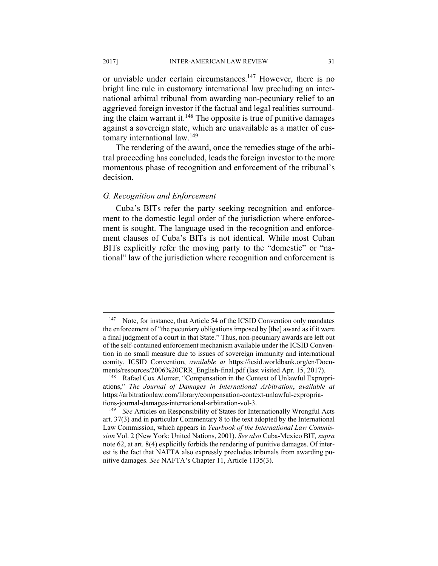or unviable under certain circumstances.<sup>147</sup> However, there is no bright line rule in customary international law precluding an international arbitral tribunal from awarding non-pecuniary relief to an aggrieved foreign investor if the factual and legal realities surrounding the claim warrant it.<sup>148</sup> The opposite is true of punitive damages against a sovereign state, which are unavailable as a matter of customary international law.149

The rendering of the award, once the remedies stage of the arbitral proceeding has concluded, leads the foreign investor to the more momentous phase of recognition and enforcement of the tribunal's decision.

#### *G. Recognition and Enforcement*

Cuba's BITs refer the party seeking recognition and enforcement to the domestic legal order of the jurisdiction where enforcement is sought. The language used in the recognition and enforcement clauses of Cuba's BITs is not identical. While most Cuban BITs explicitly refer the moving party to the "domestic" or "national" law of the jurisdiction where recognition and enforcement is

1

<sup>&</sup>lt;sup>147</sup> Note, for instance, that Article 54 of the ICSID Convention only mandates the enforcement of "the pecuniary obligations imposed by [the] award as if it were a final judgment of a court in that State." Thus, non-pecuniary awards are left out of the self-contained enforcement mechanism available under the ICSID Convention in no small measure due to issues of sovereign immunity and international comity. ICSID Convention, *available at* https://icsid.worldbank.org/en/Documents/resources/2006%20CRR\_English-final.pdf (last visited Apr. 15, 2017).<br><sup>148</sup> Rafael Cox Alomar, "Compensation in the Context of Unlawful Expropri-

ations," *The Journal of Damages in International Arbitration*, *available at* https://arbitrationlaw.com/library/compensation-context-unlawful-expropria-

tions-journal-damages-international-arbitration-vol-3. 149 *See* Articles on Responsibility of States for Internationally Wrongful Acts art. 37(3) and in particular Commentary 8 to the text adopted by the International Law Commission, which appears in *Yearbook of the International Law Commission* Vol. 2 (New York: United Nations, 2001). *See also* Cuba-Mexico BIT*, supra*  note 62, at art. 8(4) explicitly forbids the rendering of punitive damages. Of interest is the fact that NAFTA also expressly precludes tribunals from awarding punitive damages. *See* NAFTA's Chapter 11, Article 1135(3).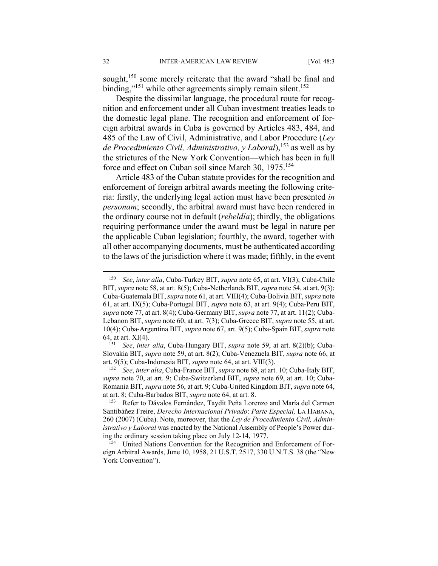sought,<sup>150</sup> some merely reiterate that the award "shall be final and binding,"<sup>151</sup> while other agreements simply remain silent.<sup>152</sup>

Despite the dissimilar language, the procedural route for recognition and enforcement under all Cuban investment treaties leads to the domestic legal plane. The recognition and enforcement of foreign arbitral awards in Cuba is governed by Articles 483, 484, and 485 of the Law of Civil, Administrative, and Labor Procedure (*Ley de Procedimiento Civil, Administrativo, y Laboral*),153 as well as by the strictures of the New York Convention—which has been in full force and effect on Cuban soil since March 30, 1975.<sup>154</sup>

Article 483 of the Cuban statute provides for the recognition and enforcement of foreign arbitral awards meeting the following criteria: firstly, the underlying legal action must have been presented *in personam*; secondly, the arbitral award must have been rendered in the ordinary course not in default (*rebeldía*); thirdly, the obligations requiring performance under the award must be legal in nature per the applicable Cuban legislation; fourthly, the award, together with all other accompanying documents, must be authenticated according to the laws of the jurisdiction where it was made; fifthly, in the event

<u>.</u>

<sup>150</sup> *See*, *inter alia*, Cuba-Turkey BIT, *supra* note 65, at art. VI(3); Cuba-Chile BIT, *supra* note 58, at art. 8(5); Cuba-Netherlands BIT, *supra* note 54, at art. 9(3); Cuba-Guatemala BIT, *supra* note 61, at art. VIII(4); Cuba-Bolivia BIT, *supra* note 61, at art. IX(5); Cuba-Portugal BIT, *supra* note 63, at art. 9(4); Cuba-Peru BIT, *supra* note 77, at art. 8(4); Cuba-Germany BIT, *supra* note 77, at art. 11(2); Cuba-Lebanon BIT, *supra* note 60, at art. 7(3); Cuba-Greece BIT, *supra* note 55, at art. 10(4); Cuba-Argentina BIT, *supra* note 67, art. 9(5); Cuba-Spain BIT, *supra* note 64, at art. XI(4). 151 *See*, *inter alia*, Cuba-Hungary BIT, *supra* note 59, at art. 8(2)(b); Cuba-

Slovakia BIT, *supra* note 59, at art. 8(2); Cuba-Venezuela BIT, *supra* note 66, at art. 9(5); Cuba-Indonesia BIT, *supra* note 64, at art. VIII(3). 152 *See*, *inter alia*, Cuba-France BIT, *supra* note 68, at art. 10; Cuba-Italy BIT,

*supra* note 70, at art. 9; Cuba-Switzerland BIT, *supra* note 69, at art. 10; Cuba-Romania BIT, *supra* note 56, at art. 9; Cuba-United Kingdom BIT, *supra* note 64, at art. 8; Cuba-Barbados BIT, *supra* note 64, at art. 8. 153 Refer to Dávalos Fernández, Taydit Peña Lorenzo and María del Carmen

Santibáñez Freire, *Derecho Internacional Privado*: *Parte Especial,* LA HABANA, 260 (2007) (Cuba). Note, moreover, that the *Ley de Procedimiento Civil, Administrativo y Laboral* was enacted by the National Assembly of People's Power during the ordinary session taking place on July 12-14, 1977.<br><sup>154</sup> United Nations Convention for the Recognition and Enforcement of For-

eign Arbitral Awards, June 10, 1958, 21 U.S.T. 2517, 330 U.N.T.S. 38 (the "New York Convention").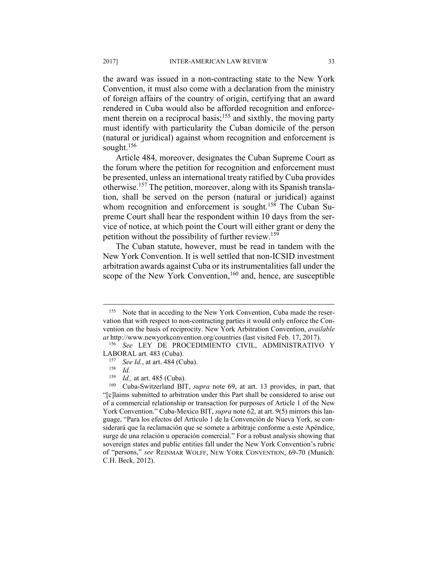the award was issued in a non-contracting state to the New York Convention, it must also come with a declaration from the ministry of foreign affairs of the country of origin, certifying that an award rendered in Cuba would also be afforded recognition and enforcement therein on a reciprocal basis;<sup>155</sup> and sixthly, the moving party must identify with particularity the Cuban domicile of the person (natural or juridical) against whom recognition and enforcement is sought. $156$ 

Article 484, moreover, designates the Cuban Supreme Court as the forum where the petition for recognition and enforcement must be presented, unless an international treaty ratified by Cuba provides otherwise.157 The petition, moreover, along with its Spanish translation, shall be served on the person (natural or juridical) against whom recognition and enforcement is sought.<sup>158</sup> The Cuban Supreme Court shall hear the respondent within 10 days from the service of notice, at which point the Court will either grant or deny the petition without the possibility of further review.159

The Cuban statute, however, must be read in tandem with the New York Convention. It is well settled that non-ICSID investment arbitration awards against Cuba or its instrumentalities fall under the scope of the New York Convention,<sup>160</sup> and, hence, are susceptible

1

<sup>&</sup>lt;sup>155</sup> Note that in acceding to the New York Convention, Cuba made the reservation that with respect to non-contracting parties it would only enforce the Convention on the basis of reciprocity. New York Arbitration Convention, *available at* http://www.newyorkconvention.org/countries (last visited Feb. 17, 2017).

<sup>156</sup> *See* LEY DE PROCEDIMIENTO CIVIL, ADMINISTRATIVO Y

LABORAL art. 483 (Cuba).<br><sup>157</sup> See *Id.*, at art. 484 (Cuba).<br><sup>158</sup> *Id.* at art. 485 (Cuba)

<sup>&</sup>lt;sup>159</sup> *Id.*, at art. 485 (Cuba).<br><sup>160</sup> Cuba-Switzerland BIT, *supra* note 69, at art. 13 provides, in part, that "[c]laims submitted to arbitration under this Part shall be considered to arise out of a commercial relationship or transaction for purposes of Article 1 of the New York Convention." Cuba-Mexico BIT, *supra* note 62, at art. 9(5) mirrors this language, "Para los efectos del Artículo 1 de la Convención de Nueva York, se considerará que la reclamación que se somete a arbitraje conforme a este Apéndice, surge de una relación u operación comercial." For a robust analysis showing that sovereign states and public entities fall under the New York Convention's rubric of "persons," *see* REINMAR WOLFF, NEW YORK CONVENTION, 69-70 (Munich: C.H. Beck, 2012).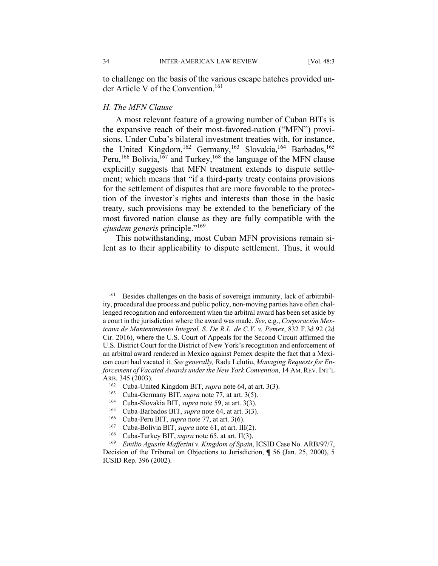to challenge on the basis of the various escape hatches provided under Article V of the Convention.<sup>161</sup>

#### *H. The MFN Clause*

A most relevant feature of a growing number of Cuban BITs is the expansive reach of their most-favored-nation ("MFN") provisions. Under Cuba's bilateral investment treaties with, for instance, the United Kingdom,<sup>162</sup> Germany,<sup>163</sup> Slovakia,<sup>164</sup> Barbados,<sup>165</sup> Peru,<sup>166</sup> Bolivia,<sup>167</sup> and Turkey,<sup>168</sup> the language of the MFN clause explicitly suggests that MFN treatment extends to dispute settlement; which means that "if a third-party treaty contains provisions for the settlement of disputes that are more favorable to the protection of the investor's rights and interests than those in the basic treaty, such provisions may be extended to the beneficiary of the most favored nation clause as they are fully compatible with the *ejusdem generis* principle."<sup>169</sup>

This notwithstanding, most Cuban MFN provisions remain silent as to their applicability to dispute settlement. Thus, it would

<sup>161</sup> Besides challenges on the basis of sovereign immunity, lack of arbitrability, procedural due process and public policy, non-moving parties have often challenged recognition and enforcement when the arbitral award has been set aside by a court in the jurisdiction where the award was made. *See*, e.g., *Corporación Mexicana de Mantenimiento Integral, S. De R.L. de C.V. v. Pemex*, 832 F.3d 92 (2d Cir. 2016), where the U.S. Court of Appeals for the Second Circuit affirmed the U.S. District Court for the District of New York's recognition and enforcement of an arbitral award rendered in Mexico against Pemex despite the fact that a Mexican court had vacated it. *See generally,* Radu Lelutiu, *Managing Requests for Enforcement of Vacated Awards under the New York Convention*, 14 AM.REV.INT'L ARB. 345 (2003).<br>
<sup>162</sup> Cuba-United Kingdom BIT, *supra* note 64, at art. 3(3).<br>
<sup>163</sup> Cuba-Germany BIT, *supra* note 77, at art. 3(5).<br>
<sup>164</sup> Cuba-Slovakia BIT, *supra* note 59, at art. 3(3).<br>
<sup>165</sup> Cuba-Barbados BIT, *s* 

Decision of the Tribunal on Objections to Jurisdiction, **¶** 56 (Jan. 25, 2000), 5 ICSID Rep. 396 (2002).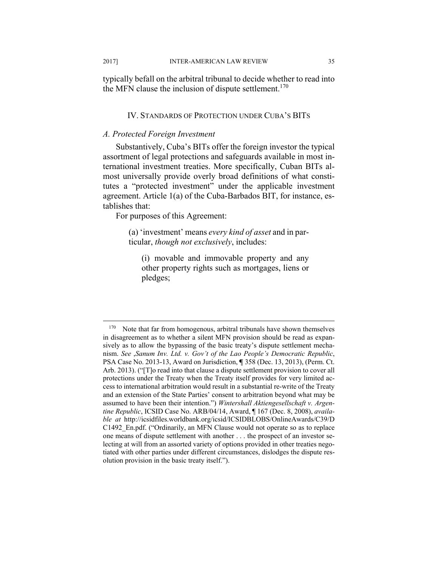typically befall on the arbitral tribunal to decide whether to read into the MFN clause the inclusion of dispute settlement.<sup>170</sup>

# IV. STANDARDS OF PROTECTION UNDER CUBA'S BITS

# *A. Protected Foreign Investment*

Substantively, Cuba's BITs offer the foreign investor the typical assortment of legal protections and safeguards available in most international investment treaties. More specifically, Cuban BITs almost universally provide overly broad definitions of what constitutes a "protected investment" under the applicable investment agreement. Article 1(a) of the Cuba-Barbados BIT, for instance, establishes that:

For purposes of this Agreement:

 $\overline{a}$ 

(a) 'investment' means *every kind of asset* and in particular, *though not exclusively*, includes:

(i) movable and immovable property and any other property rights such as mortgages, liens or pledges;

 $170$  Note that far from homogenous, arbitral tribunals have shown themselves in disagreement as to whether a silent MFN provision should be read as expansively as to allow the bypassing of the basic treaty's dispute settlement mechanism. *See* ,*Sanum Inv. Ltd. v. Gov't of the Lao People's Democratic Republic*, PSA Case No. 2013-13, Award on Jurisdiction, **¶** 358 (Dec. 13, 2013), (Perm. Ct. Arb. 2013). ("[T]o read into that clause a dispute settlement provision to cover all protections under the Treaty when the Treaty itself provides for very limited access to international arbitration would result in a substantial re-write of the Treaty and an extension of the State Parties' consent to arbitration beyond what may be assumed to have been their intention.") *Wintershall Aktiengesellschaft v. Argentine Republic*, ICSID Case No. ARB/04/14, Award, ¶ 167 (Dec. 8, 2008), *available at* http://icsidfiles.worldbank.org/icsid/ICSIDBLOBS/OnlineAwards/C39/D C1492\_En.pdf. ("Ordinarily, an MFN Clause would not operate so as to replace one means of dispute settlement with another . . . the prospect of an investor selecting at will from an assorted variety of options provided in other treaties negotiated with other parties under different circumstances, dislodges the dispute resolution provision in the basic treaty itself.").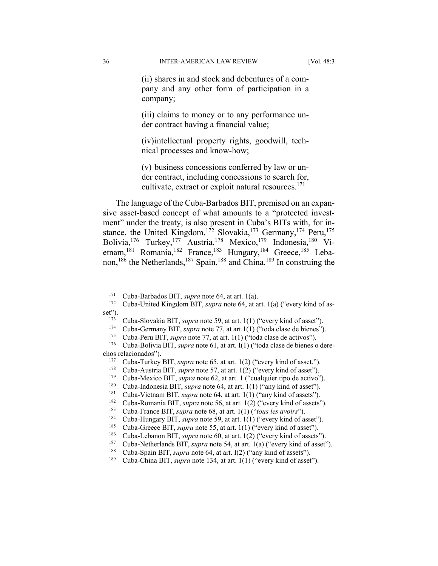(ii) shares in and stock and debentures of a company and any other form of participation in a company;

(iii) claims to money or to any performance under contract having a financial value;

(iv) intellectual property rights, goodwill, technical processes and know-how;

(v) business concessions conferred by law or under contract, including concessions to search for, cultivate, extract or exploit natural resources.<sup>171</sup>

The language of the Cuba-Barbados BIT, premised on an expansive asset-based concept of what amounts to a "protected investment" under the treaty, is also present in Cuba's BITs with, for instance, the United Kingdom,<sup>172</sup> Slovakia,<sup>173</sup> Germany,<sup>174</sup> Peru,<sup>175</sup> Bolivia,176 Turkey,177 Austria,178 Mexico,179 Indonesia,180 Vietnam,<sup>181</sup> Romania,<sup>182</sup> France,<sup>183</sup> Hungary,<sup>184</sup> Greece,<sup>185</sup> Lebanon,<sup>186</sup> the Netherlands,<sup>187</sup> Spain,<sup>188</sup> and China.<sup>189</sup> In construing the

<sup>171</sup> Cuba-Barbados BIT, *supra* note 64, at art. 1(a). 172 Cuba-United Kingdom BIT, *supra* note 64, at art. 1(a) ("every kind of as-

set").<br>
<sup>173</sup> Cuba-Slovakia BIT, *supra* note 59, at art. 1(1) ("every kind of asset").<br>
<sup>174</sup> Cuba-Germany BIT, *supra* note 77, at art. 1(1) ("toda clase de bienes").<br>
<sup>175</sup> Cuba-Peru BIT, *supra* note 77, at art. 1(1)

chos relacionados").<br>
<sup>177</sup> Cuba-Turkey BIT, *supra* note 65, at art. 1(2) ("every kind of asset.").<br>
<sup>178</sup> Cuba-Austria BIT, *supra* note 57, at art. 1(2) ("every kind of asset").<br>
<sup>179</sup> Cuba-Mexico BIT, *supra* note 62,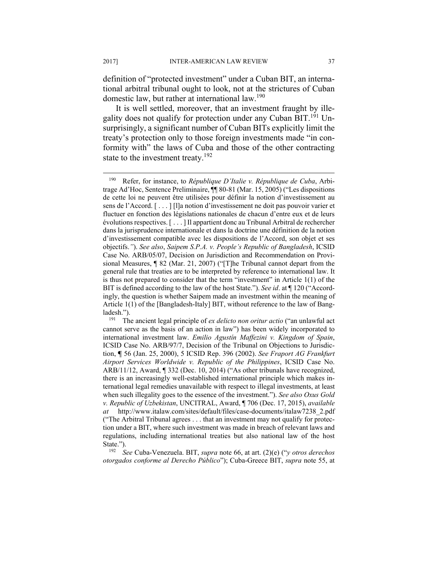definition of "protected investment" under a Cuban BIT, an international arbitral tribunal ought to look, not at the strictures of Cuban domestic law, but rather at international law.<sup>190</sup>

It is well settled, moreover, that an investment fraught by illegality does not qualify for protection under any Cuban  $\overline{BIT}$ .<sup>191</sup> Unsurprisingly, a significant number of Cuban BITs explicitly limit the treaty's protection only to those foreign investments made "in conformity with" the laws of Cuba and those of the other contracting state to the investment treaty.<sup>192</sup>

State."). 192 *See* Cuba-Venezuela. BIT, *supra* note 66, at art. (2)(e) ("*y otros derechos otorgados conforme al Derecho Público*"); Cuba-Greece BIT, *supra* note 55, at

<sup>190</sup> Refer, for instance, to *République D'Italie v. République de Cuba*, Arbitrage Ad'Hoc, Sentence Preliminaire, ¶¶ 80-81 (Mar. 15, 2005) ("Les dispositions de cette loi ne peuvent être utilisées pour définir la notion d'investissement au sens de l'Accord. [ . . . ] [l]a notion d'investissement ne doit pas pouvoir varier et fluctuer en fonction des législations nationales de chacun d'entre eux et de leurs évolutions respectives. [ . . . ] Il appartient donc au Tribunal Arbitral de rechercher dans la jurisprudence internationale et dans la doctrine une définition de la notion d'investissement compatible avec les dispositions de l'Accord, son objet et ses objectifs.*"*). *See also*, *Saipem S.P.A. v. People's Republic of Bangladesh*, ICSID Case No. ARB/05/07, Decision on Jurisdiction and Recommendation on Provisional Measures, ¶ 82 (Mar. 21, 2007) ("[T]he Tribunal cannot depart from the general rule that treaties are to be interpreted by reference to international law. It is thus not prepared to consider that the term "investment" in Article 1(1) of the BIT is defined according to the law of the host State."). *See id*. at ¶ 120 ("Accordingly, the question is whether Saipem made an investment within the meaning of Article 1(1) of the [Bangladesh-Italy] BIT, without reference to the law of Bangladesh."). 191 The ancient legal principle of *ex delicto non oritur actio* ("an unlawful act

cannot serve as the basis of an action in law") has been widely incorporated to international investment law. *Emilio Agustín Maffezini v. Kingdom of Spain*, ICSID Case No. ARB/97/7, Decision of the Tribunal on Objections to Jurisdiction, **¶** 56 (Jan. 25, 2000), 5 ICSID Rep. 396 (2002). *See Fraport AG Frankfurt Airport Services Worldwide v. Republic of the Philippines*, ICSID Case No. ARB/11/12, Award, ¶ 332 (Dec. 10, 2014) ("As other tribunals have recognized, there is an increasingly well-established international principle which makes international legal remedies unavailable with respect to illegal investments, at least when such illegality goes to the essence of the investment."). *See also Oxus Gold v. Republic of Uzbekistan*, UNCITRAL, Award, ¶ 706 (Dec. 17, 2015), *available at* http://www.italaw.com/sites/default/files/case-documents/italaw7238\_2.pdf ("The Arbitral Tribunal agrees . . . that an investment may not qualify for protection under a BIT, where such investment was made in breach of relevant laws and regulations, including international treaties but also national law of the host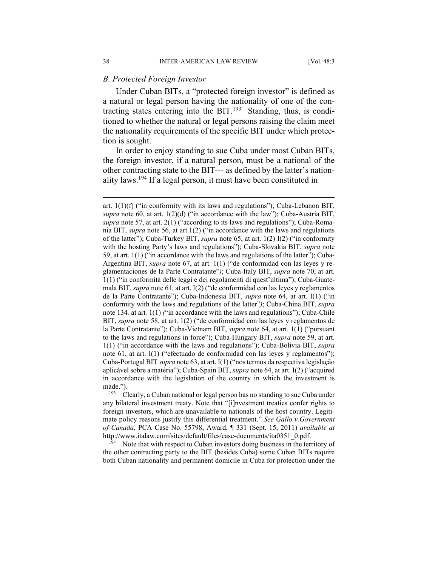#### *B. Protected Foreign Investor*

Under Cuban BITs, a "protected foreign investor" is defined as a natural or legal person having the nationality of one of the contracting states entering into the BIT. $^{193}$  Standing, thus, is conditioned to whether the natural or legal persons raising the claim meet the nationality requirements of the specific BIT under which protection is sought.

In order to enjoy standing to sue Cuba under most Cuban BITs, the foreign investor, if a natural person, must be a national of the other contracting state to the BIT--- as defined by the latter's nationality laws.194 If a legal person, it must have been constituted in

the other contracting party to the BIT (besides Cuba) some Cuban BITs require both Cuban nationality and permanent domicile in Cuba for protection under the

art.  $1(1)(f)$  ("in conformity with its laws and regulations"); Cuba-Lebanon BIT, *supra* note 60, at art.  $1(2)(d)$  ("in accordance with the law"); Cuba-Austria BIT, *supra* note 57, at art. 2(1) ("according to its laws and regulations"); Cuba-Romania BIT, *supra* note 56, at art.1(2) ("in accordance with the laws and regulations of the latter"); Cuba-Turkey BIT, *supra* note 65, at art. 1(2) I(2) ("in conformity with the hosting Party's laws and regulations"); Cuba-Slovakia BIT, *supra* note 59, at art. 1(1) ("in accordance with the laws and regulations of the latter"); Cuba-Argentina BIT, *supra* note 67, at art. 1(1) ("de conformidad con las leyes y reglamentaciones de la Parte Contratante"*)*; Cuba-Italy BIT, *supra* note 70, at art. 1(1) ("in conformità delle leggi e dei regolamenti di quest'ultima"); Cuba-Guatemala BIT, *supra* note 61, at art. I(2) ("de conformidad con las leyes y reglamentos de la Parte Contratante"); Cuba-Indonesia BIT, *supra* note 64, at art. I(1) ("in conformity with the laws and regulations of the latter"*)*; Cuba-China BIT, *supra*  note 134*,* at art*.* 1(1) *(*"in accordance with the laws and regulations"); Cuba-Chile BIT, *supra* note 58, at art. 1(2) ("de conformidad con las leyes y reglamentos de la Parte Contratante"); Cuba-Vietnam BIT, *supra* note 64, at art. 1(1) ("pursuant to the laws and regulations in force"); Cuba-Hungary BIT, *supra* note 59, at art. 1(1) ("in accordance with the laws and regulations"); Cuba-Bolivia BIT, *supra*  note 61, at art. I(1) ("efectuado de conformidad con las leyes y reglamentos"); Cuba-Portugal BIT *supra* note 63, at art. I(1) ("nos termos da respectiva legislação aplicável sobre a matéria"); Cuba-Spain BIT, *supra* note 64, at art. I(2) ("acquired in accordance with the legislation of the country in which the investment is made.").<br><sup>193</sup> Clearly, a Cuban national or legal person has no standing to sue Cuba under

any bilateral investment treaty. Note that "[i]nvestment treaties confer rights to foreign investors, which are unavailable to nationals of the host country. Legitimate policy reasons justify this differential treatment." *See Gallo v.Government of Canada*, PCA Case No. 55798, Award, ¶ 331 (Sept. 15, 2011) *available at* http://www.italaw.com/sites/default/files/case-documents/ita0351\_0.pdf.<br><sup>194</sup> Note that with respect to Cuban investors doing business in the territory of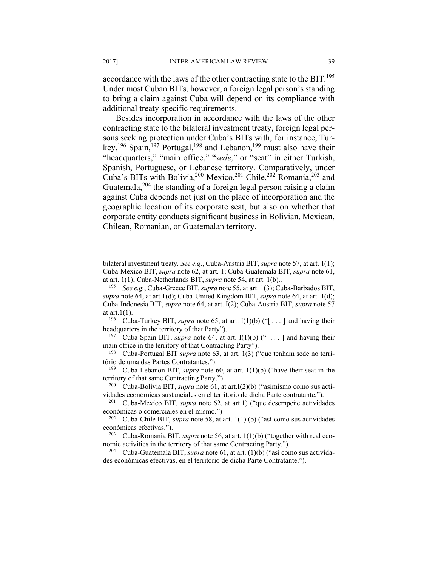accordance with the laws of the other contracting state to the BIT.<sup>195</sup> Under most Cuban BITs, however, a foreign legal person's standing to bring a claim against Cuba will depend on its compliance with additional treaty specific requirements.

Besides incorporation in accordance with the laws of the other contracting state to the bilateral investment treaty, foreign legal persons seeking protection under Cuba's BITs with, for instance, Turkey,<sup>196</sup> Spain,<sup>197</sup> Portugal,<sup>198</sup> and Lebanon,<sup>199</sup> must also have their "headquarters," "main office," "*sede*," or "seat" in either Turkish, Spanish, Portuguese, or Lebanese territory. Comparatively, under Cuba's BITs with Bolivia,<sup>200</sup> Mexico,<sup>201</sup> Chile,<sup>202</sup> Romania,<sup>203</sup> and Guatemala,  $204$  the standing of a foreign legal person raising a claim against Cuba depends not just on the place of incorporation and the geographic location of its corporate seat, but also on whether that corporate entity conducts significant business in Bolivian, Mexican, Chilean, Romanian, or Guatemalan territory.

at art.1(1).<br><sup>196</sup> Cuba-Turkey BIT, *supra* note 65, at art. I(1)(b) ("[...] and having their headquarters in the territory of that Party").<br><sup>197</sup> Cuba-Spain BIT, *supra* note 64, at art. I(1)(b) ("[...] and having their

main office in the territory of that Contracting Party").<br><sup>198</sup> Cuba-Portugal BIT *supra* note 63, at art. 1(3) ("que tenham sede no terri-

tório de uma das Partes Contratantes."). 199 Cuba-Lebanon BIT, *supra* note 60, at art. 1(1)(b) ("have their seat in the

territory of that same Contracting Party.").<br><sup>200</sup> Cuba-Bolivia BIT, *supra* note 61, at art.I(2)(b) ("asimismo como sus acti-

bilateral investment treaty*. See e.g.*, Cuba-Austria BIT, *supra* note 57, at art. 1(1); Cuba-Mexico BIT, *supra* note 62, at art. 1; Cuba-Guatemala BIT, *supra* note 61, at art. 1(1); Cuba-Netherlands BIT, *supra* note 54, at art. 1(b).. 195 *See e.g.*, Cuba-Greece BIT, *supra* note 55, at art. 1(3); Cuba-Barbados BIT,

*supra* note 64, at art 1(d); Cuba-United Kingdom BIT, *supra* note 64, at art. 1(d); Cuba-Indonesia BIT, *supra* note 64, at art. I(2); Cuba-Austria BIT, *supra* note 57

vidades económicas sustanciales en el territorio de dicha Parte contratante*.*"). 201 Cuba-Mexico BIT, *supra* note 62, at art.1) ("que desempeñe actividades

económicas o comerciales en el mismo.") 202 Cuba-Chile BIT, *supra* note 58, at art. 1(1) (b) ("así como sus actividades

económicas efectivas.").<br><sup>203</sup> Cuba-Romania BIT, *supra* note 56, at art. 1(1)(b) ("together with real eco-

nomic activities in the territory of that same Contracting Party.").<br><sup>204</sup> Cuba-Guatemala BIT, *supra* note 61, at art. (1)(b) ("así como sus activida-

des económicas efectivas, en el territorio de dicha Parte Contratante.").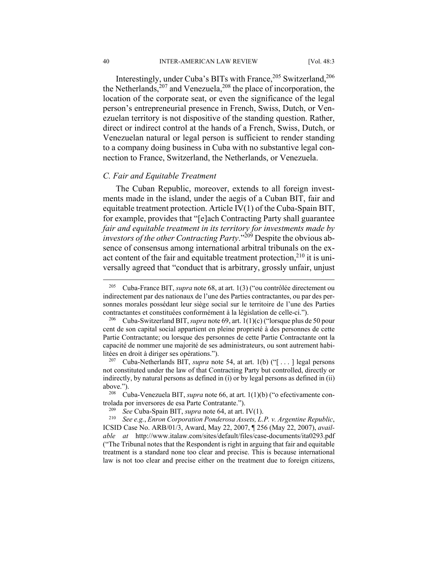Interestingly, under Cuba's BITs with France,<sup>205</sup> Switzerland,<sup>206</sup> the Netherlands,  $207$  and Venezuela,  $208$  the place of incorporation, the location of the corporate seat, or even the significance of the legal person's entrepreneurial presence in French, Swiss, Dutch, or Venezuelan territory is not dispositive of the standing question. Rather, direct or indirect control at the hands of a French, Swiss, Dutch, or Venezuelan natural or legal person is sufficient to render standing to a company doing business in Cuba with no substantive legal connection to France, Switzerland, the Netherlands, or Venezuela.

# *C. Fair and Equitable Treatment*

The Cuban Republic, moreover, extends to all foreign investments made in the island, under the aegis of a Cuban BIT, fair and equitable treatment protection. Article IV(1) of the Cuba-Spain BIT, for example, provides that "[e]ach Contracting Party shall guarantee *fair and equitable treatment in its territory for investments made by investors of the other Contracting Party*."209 Despite the obvious absence of consensus among international arbitral tribunals on the exact content of the fair and equitable treatment protection, $2^{10}$  it is universally agreed that "conduct that is arbitrary, grossly unfair, unjust

1

<sup>205</sup> Cuba-France BIT, *supra* note 68, at art. 1(3) ("ou contrôlée directement ou indirectement par des nationaux de l'une des Parties contractantes, ou par des personnes morales possédant leur siège social sur le territoire de l'une des Parties

contractantes et constituées conformément à la législation de celle-ci."). 206 Cuba-Switzerland BIT, *supra* note 69, art. 1(1)(c) ("lorsque plus de 50 pour cent de son capital social appartient en pleine proprieté à des personnes de cette Partie Contractante; ou lorsque des personnes de cette Partie Contractante ont la capacité de nommer une majorité de ses administrateurs, ou sont autrement habilitées en droit à diriger ses opérations."). 207 Cuba-Netherlands BIT, *supra* note 54, at art. 1(b) ("[ . . . ] legal persons

not constituted under the law of that Contracting Party but controlled, directly or indirectly, by natural persons as defined in (i) or by legal persons as defined in (ii) above."). 208 Cuba-Venezuela BIT, *supra* note 66, at art. 1(1)(b) ("o efectivamente con-

trolada por inversores de esa Parte Contratante."). 209 *See* Cuba-Spain BIT, *supra* note 64, at art. IV(1). 210 *See e.g.*, *Enron Corporation Ponderosa Assets, L.P. v. Argentine Republic*,

ICSID Case No. ARB/01/3, Award, May 22, 2007, ¶ 256 (May 22, 2007), *available at* http://www.italaw.com/sites/default/files/case-documents/ita0293.pdf ("The Tribunal notes that the Respondent is right in arguing that fair and equitable treatment is a standard none too clear and precise. This is because international law is not too clear and precise either on the treatment due to foreign citizens,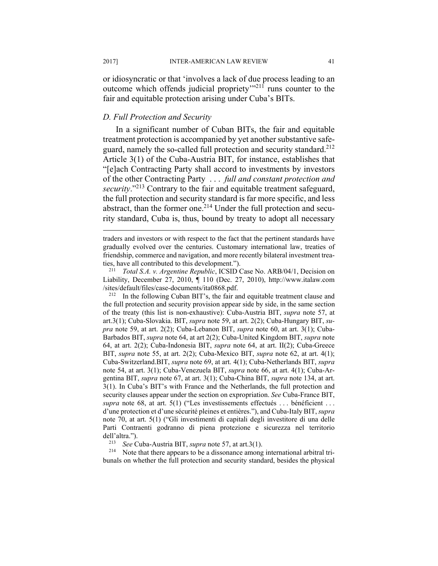or idiosyncratic or that 'involves a lack of due process leading to an outcome which offends judicial propriety<sup> $m211$ </sup> runs counter to the fair and equitable protection arising under Cuba's BITs.

#### *D. Full Protection and Security*

In a significant number of Cuban BITs, the fair and equitable treatment protection is accompanied by yet another substantive safeguard, namely the so-called full protection and security standard.<sup>212</sup> Article 3(1) of the Cuba-Austria BIT, for instance, establishes that "[e]ach Contracting Party shall accord to investments by investors of the other Contracting Party . . . *full and constant protection and security*."213 Contrary to the fair and equitable treatment safeguard, the full protection and security standard is far more specific, and less abstract, than the former one.<sup>214</sup> Under the full protection and security standard, Cuba is, thus, bound by treaty to adopt all necessary

the full protection and security provision appear side by side, in the same section of the treaty (this list is non-exhaustive): Cuba-Austria BIT, *supra* note 57, at art.3(1); Cuba-Slovakia. BIT, *supra* note 59, at art. 2(2); Cuba-Hungary BIT, *supra* note 59, at art. 2(2); Cuba-Lebanon BIT, *supra* note 60, at art. 3(1); Cuba-Barbados BIT, *supra* note 64, at art 2(2); Cuba-United Kingdom BIT, *supra* note 64, at art. 2(2); Cuba-Indonesia BIT, *supra* note 64, at art. II(2); Cuba-Greece BIT, *supra* note 55, at art. 2(2); Cuba-Mexico BIT, *supra* note 62, at art. 4(1); Cuba-Switzerland.BIT, *supra* note 69, at art. 4(1); Cuba-Netherlands BIT, *supra*  note 54, at art. 3(1); Cuba-Venezuela BIT, *supra* note 66, at art. 4(1); Cuba-Argentina BIT, *supra* note 67, at art. 3(1); Cuba-China BIT, *supra* note 134, at art. 3(1). In Cuba's BIT's with France and the Netherlands, the full protection and security clauses appear under the section on expropriation. *See* Cuba-France BIT, *supra* note 68, at art. 5(1) ("Les investissements effectués . . . bénéficient . . . d'une protection et d'une sécurité pleines et entières."), and Cuba-Italy BIT, *supra* note 70, at art. 5(1) ("Gli investimenti di capitali degli investitore di una delle Parti Contraenti godranno di piena protezione e sicurezza nel territorio

dell'altra.").<br><sup>213</sup> *See* Cuba-Austria BIT, *supra* note 57, at art.3(1).<br><sup>214</sup> Note that there appears to be a dissonance among international arbitral tribunals on whether the full protection and security standard, besides the physical

traders and investors or with respect to the fact that the pertinent standards have gradually evolved over the centuries. Customary international law, treaties of friendship, commerce and navigation, and more recently bilateral investment treaties, have all contributed to this development."). 211 *Total S.A. v. Argentine Republic*, ICSID Case No. ARB/04/1, Decision on

Liability, December 27, 2010, ¶ 110 (Dec. 27, 2010), http://www.italaw.com /sites/default/files/case-documents/ita0868.pdf. 212 In the following Cuban BIT's, the fair and equitable treatment clause and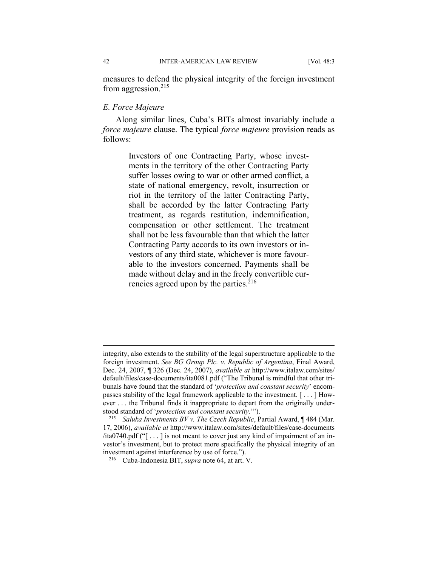measures to defend the physical integrity of the foreign investment from aggression.215

# *E. Force Majeure*

Along similar lines, Cuba's BITs almost invariably include a *force majeure* clause. The typical *force majeure* provision reads as follows:

> Investors of one Contracting Party, whose investments in the territory of the other Contracting Party suffer losses owing to war or other armed conflict, a state of national emergency, revolt, insurrection or riot in the territory of the latter Contracting Party, shall be accorded by the latter Contracting Party treatment, as regards restitution, indemnification, compensation or other settlement. The treatment shall not be less favourable than that which the latter Contracting Party accords to its own investors or investors of any third state, whichever is more favourable to the investors concerned. Payments shall be made without delay and in the freely convertible currencies agreed upon by the parties. $216$

integrity, also extends to the stability of the legal superstructure applicable to the foreign investment. *See BG Group Plc. v. Republic of Argentina*, Final Award, Dec. 24, 2007, ¶ 326 (Dec. 24, 2007), *available at* http://www.italaw.com/sites/ default/files/case-documents/ita0081.pdf ("The Tribunal is mindful that other tribunals have found that the standard of '*protection and constant security*' encompasses stability of the legal framework applicable to the investment. [ . . . ] However . . . the Tribunal finds it inappropriate to depart from the originally understood standard of '*protection and constant security*.'"). 215 *Saluka Investments BV v. The Czech Republic*, Partial Award, ¶ 484 (Mar.

<sup>17, 2006),</sup> *available at* http://www.italaw.com/sites/default/files/case-documents /ita0740.pdf ("[ . . . ] is not meant to cover just any kind of impairment of an investor's investment, but to protect more specifically the physical integrity of an investment against interference by use of force."). 216 Cuba-Indonesia BIT, *supra* note 64, at art. V.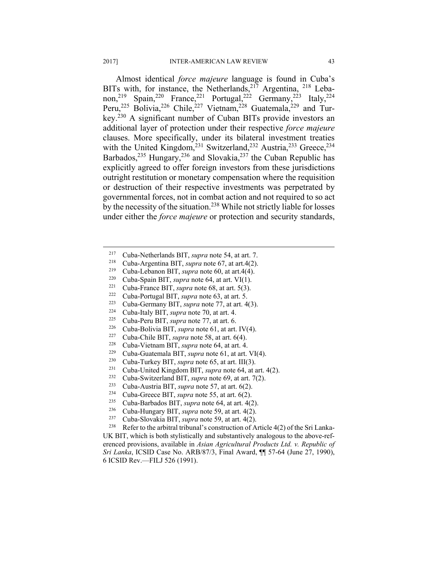Almost identical *force majeure* language is found in Cuba's BITs with, for instance, the Netherlands,  $2^{17}$  Argentina,  $2^{18}$  Lebanon,<sup>219</sup> Spain,<sup>220</sup> France,<sup>221</sup> Portugal,<sup>222</sup> Germany,<sup>223</sup> Italy,<sup>224</sup> Peru,<sup>225</sup> Bolivia,<sup>226</sup> Chile,<sup>227</sup> Vietnam,<sup>228</sup> Guatemala,<sup>229</sup> and Turkey.230 A significant number of Cuban BITs provide investors an additional layer of protection under their respective *force majeure* clauses. More specifically, under its bilateral investment treaties with the United Kingdom,<sup>231</sup> Switzerland,<sup>232</sup> Austria,<sup>233</sup> Greece,<sup>234</sup> Barbados,  $^{235}$  Hungary,  $^{236}$  and Slovakia,  $^{237}$  the Cuban Republic has explicitly agreed to offer foreign investors from these jurisdictions outright restitution or monetary compensation where the requisition or destruction of their respective investments was perpetrated by governmental forces, not in combat action and not required to so act by the necessity of the situation.238 While not strictly liable for losses under either the *force majeure* or protection and security standards,

- 
- 
- 
- 
- 
- 
- 
- 
- 
- 
- 
- 
- 
- 
- 
- 

217 Cuba-Netherlands BIT, *supra* note 54, at art. 7.<br>
218 Cuba-Argentina BIT, *supra* note 67, at art. 4(2).<br>
219 Cuba-Spain BIT, *supra* note 60, at art. 4(4).<br>
221 Cuba-Spain BIT, *supra* note 64, at art. 9(1).<br>
221 Cu UK BIT, which is both stylistically and substantively analogous to the above-referenced provisions, available in *Asian Agricultural Products Ltd. v. Republic of Sri Lanka*, ICSID Case No. ARB/87/3, Final Award, ¶¶ 57-64 (June 27, 1990), 6 ICSID Rev.—FILJ 526 (1991).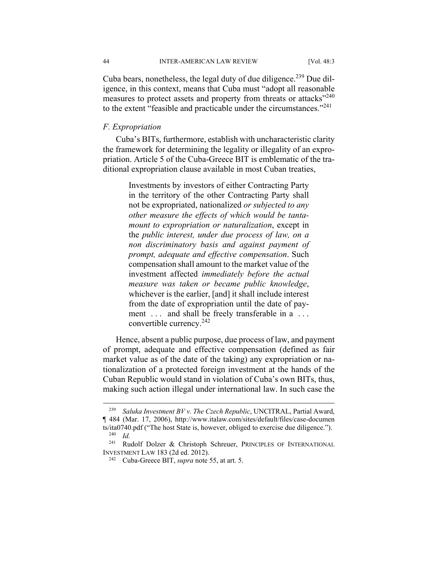Cuba bears, nonetheless, the legal duty of due diligence.<sup>239</sup> Due diligence, in this context, means that Cuba must "adopt all reasonable measures to protect assets and property from threats or attacks"<sup>240</sup> to the extent "feasible and practicable under the circumstances."241

# *F. Expropriation*

Cuba's BITs, furthermore, establish with uncharacteristic clarity the framework for determining the legality or illegality of an expropriation. Article 5 of the Cuba-Greece BIT is emblematic of the traditional expropriation clause available in most Cuban treaties,

> Investments by investors of either Contracting Party in the territory of the other Contracting Party shall not be expropriated, nationalized *or subjected to any other measure the effects of which would be tantamount to expropriation or naturalization*, except in the *public interest, under due process of law, on a non discriminatory basis and against payment of prompt, adequate and effective compensation*. Such compensation shall amount to the market value of the investment affected *immediately before the actual measure was taken or became public knowledge*, whichever is the earlier, [and] it shall include interest from the date of expropriation until the date of payment ... and shall be freely transferable in a ... convertible currency.242

Hence, absent a public purpose, due process of law, and payment of prompt, adequate and effective compensation (defined as fair market value as of the date of the taking) any expropriation or nationalization of a protected foreign investment at the hands of the Cuban Republic would stand in violation of Cuba's own BITs, thus, making such action illegal under international law. In such case the

<sup>239</sup> *Saluka Investment BV v. The Czech Republic*, UNCITRAL, Partial Award, ¶ 484 (Mar. 17, 2006), http://www.italaw.com/sites/default/files/case-documen ts/ita0740.pdf ("The host State is, however, obliged to exercise due diligence."). <sup>240</sup> *Id.*

<sup>241</sup> Rudolf Dolzer & Christoph Schreuer, PRINCIPLES OF INTERNATIONAL INVESTMENT LAW 183 (2d ed. 2012). 242 Cuba-Greece BIT, *supra* note 55, at art. 5.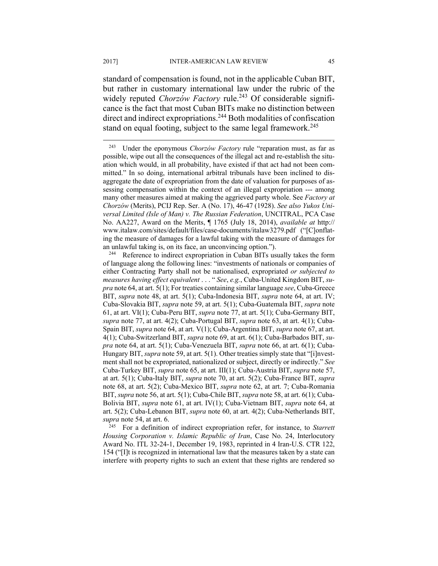standard of compensation is found, not in the applicable Cuban BIT, but rather in customary international law under the rubric of the widely reputed *Chorzów Factory* rule.<sup>243</sup> Of considerable significance is the fact that most Cuban BITs make no distinction between direct and indirect expropriations.244 Both modalities of confiscation stand on equal footing, subject to the same legal framework.<sup>245</sup>

*Housing Corporation v. Islamic Republic of Iran*, Case No. 24, Interlocutory Award No. ITL 32-24-1, December 19, 1983, reprinted in 4 Iran-U.S. CTR 122, 154 ("[I]t is recognized in international law that the measures taken by a state can interfere with property rights to such an extent that these rights are rendered so

1

<sup>243</sup> Under the eponymous *Chorzów Factory* rule "reparation must, as far as possible, wipe out all the consequences of the illegal act and re-establish the situation which would, in all probability, have existed if that act had not been committed." In so doing, international arbitral tribunals have been inclined to disaggregate the date of expropriation from the date of valuation for purposes of assessing compensation within the context of an illegal expropriation --- among many other measures aimed at making the aggrieved party whole. See *Factory at Chorzów* (Merits), PCIJ Rep. Ser. A (No. 17), 46-47 (1928). *See also Yukos Universal Limited (Isle of Man) v. The Russian Federation*, UNCITRAL, PCA Case No. AA227, Award on the Merits, ¶ 1765 (July 18, 2014), *available at* http:// www.italaw.com/sites/default/files/case-documents/italaw3279.pdf ("[C]onflating the measure of damages for a lawful taking with the measure of damages for an unlawful taking is, on its face, an unconvincing option.").<br><sup>244</sup> Reference to indirect expropriation in Cuban BITs usually takes the form

of language along the following lines: "investments of nationals or companies of either Contracting Party shall not be nationalised, expropriated *or subjected to measures having effect equivalent* . . . " *See*, *e.g.*, Cuba-United Kingdom BIT, *supra* note 64, at art. 5(1); For treaties containing similar language *see*, Cuba-Greece BIT, *supra* note 48, at art. 5(1); Cuba-Indonesia BIT, *supra* note 64, at art. IV; Cuba-Slovakia BIT, *supra* note 59, at art. 5(1); Cuba-Guatemala BIT, *supra* note 61, at art. VI(1); Cuba-Peru BIT, *supra* note 77, at art. 5(1); Cuba-Germany BIT, *supra* note 77, at art. 4(2); Cuba-Portugal BIT, *supra* note 63, at art. 4(1); Cuba-Spain BIT, *supra* note 64, at art. V(1); Cuba-Argentina BIT, *supra* note 67, at art. 4(1); Cuba-Switzerland BIT, *supra* note 69, at art. 6(1); Cuba-Barbados BIT, *supra* note 64, at art. 5(1); Cuba-Venezuela BIT, *supra* note 66, at art. 6(1); Cuba-Hungary BIT, *supra* note 59, at art. 5(1). Other treaties simply state that "[i]nvestment shall not be expropriated, nationalized or subject, directly or indirectly." *See* Cuba-Turkey BIT, *supra* note 65, at art. III(1); Cuba-Austria BIT, *supra* note 57, at art. 5(1); Cuba-Italy BIT, *supra* note 70, at art. 5(2); Cuba-France BIT, *supra* note 68, at art. 5(2); Cuba-Mexico BIT, *supra* note 62, at art. 7; Cuba-Romania BIT, *supra* note 56, at art. 5(1); Cuba-Chile BIT, *supra* note 58, at art. 6(1); Cuba-Bolivia BIT, *supra* note 61, at art. IV(1); Cuba-Vietnam BIT, *supra* note 64, at art. 5(2); Cuba-Lebanon BIT, *supra* note 60, at art. 4(2); Cuba-Netherlands BIT, *supra* note 54, at art. 6. **245** For a definition of indirect expropriation refer, for instance, to *Starrett*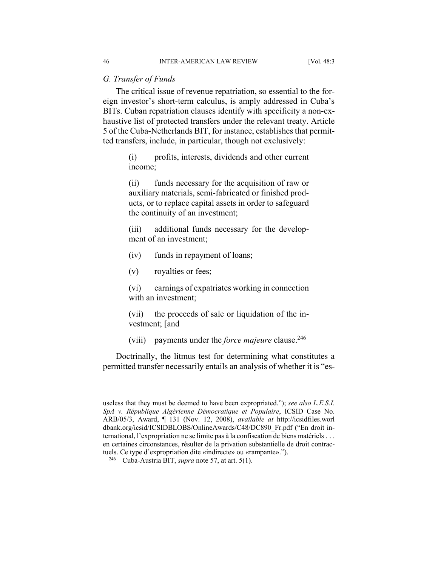# *G. Transfer of Funds*

The critical issue of revenue repatriation, so essential to the foreign investor's short-term calculus, is amply addressed in Cuba's BITs. Cuban repatriation clauses identify with specificity a non-exhaustive list of protected transfers under the relevant treaty. Article 5 of the Cuba-Netherlands BIT, for instance, establishes that permitted transfers, include, in particular, though not exclusively:

> (i) profits, interests, dividends and other current income;

> (ii) funds necessary for the acquisition of raw or auxiliary materials, semi-fabricated or finished products, or to replace capital assets in order to safeguard the continuity of an investment;

> (iii) additional funds necessary for the development of an investment;

- (iv) funds in repayment of loans;
- (v) royalties or fees;

(vi) earnings of expatriates working in connection with an investment;

(vii) the proceeds of sale or liquidation of the investment; [and

(viii) payments under the *force majeure* clause.246

Doctrinally, the litmus test for determining what constitutes a permitted transfer necessarily entails an analysis of whether it is "es-

useless that they must be deemed to have been expropriated."); *see also L.E.S.I. SpA v. République Algérienne Démocratique et Populaire*, ICSID Case No. ARB/05/3, Award, ¶ 131 (Nov. 12, 2008), *available at* http://icsidfiles.worl dbank.org/icsid/ICSIDBLOBS/OnlineAwards/C48/DC890\_Fr.pdf ("En droit international, l'expropriation ne se limite pas à la confiscation de biens matériels . . . en certaines circonstances, résulter de la privation substantielle de droit contractuels. Ce type d'expropriation dite «indirecte» ou «rampante».").

<sup>246</sup> Cuba-Austria BIT, *supra* note 57, at art. 5(1).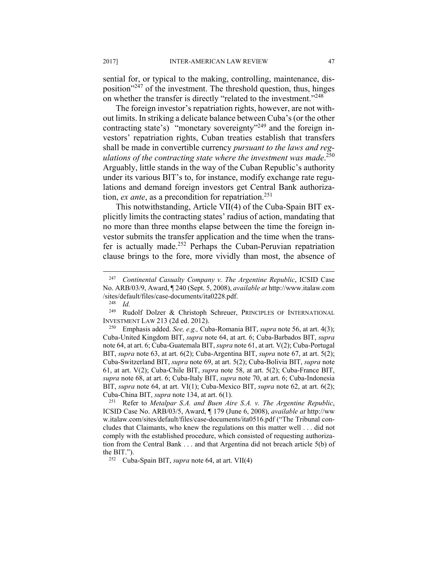sential for, or typical to the making, controlling, maintenance, disposition"247 of the investment. The threshold question, thus, hinges on whether the transfer is directly "related to the investment."<sup>248</sup>

The foreign investor's repatriation rights, however, are not without limits. In striking a delicate balance between Cuba's (or the other contracting state's) "monetary sovereignty"<sup>249</sup> and the foreign investors' repatriation rights, Cuban treaties establish that transfers shall be made in convertible currency *pursuant to the laws and regulations of the contracting state where the investment was made*. 250 Arguably, little stands in the way of the Cuban Republic's authority under its various BIT's to, for instance, modify exchange rate regulations and demand foreign investors get Central Bank authorization, *ex ante*, as a precondition for repatriation.<sup>251</sup>

This notwithstanding, Article VII(4) of the Cuba-Spain BIT explicitly limits the contracting states' radius of action, mandating that no more than three months elapse between the time the foreign investor submits the transfer application and the time when the transfer is actually made.<sup>252</sup> Perhaps the Cuban-Peruvian repatriation clause brings to the fore, more vividly than most, the absence of

<u>.</u>

<sup>247</sup> *Continental Casualty Company v. The Argentine Republic*, ICSID Case No. ARB/03/9, Award, ¶ 240 (Sept. 5, 2008), *available at* http://www.italaw.com /sites/default/files/case-documents/ita0228.pdf. 248 *Id.*

<sup>249</sup> Rudolf Dolzer & Christoph Schreuer, PRINCIPLES OF INTERNATIONAL INVESTMENT LAW 213 (2d ed. 2012). 250 Emphasis added. *See, e.g.,* Cuba-Romania BIT, *supra* note 56, at art. 4(3);

Cuba-United Kingdom BIT, *supra* note 64, at art. 6; Cuba-Barbados BIT, *supra* note 64, at art. 6; Cuba-Guatemala BIT, *supra* note 61, at art. V(2); Cuba-Portugal BIT, *supra* note 63, at art. 6(2); Cuba-Argentina BIT, *supra* note 67, at art. 5(2); Cuba-Switzerland BIT, *supra* note 69, at art. 5(2); Cuba-Bolivia BIT, *supra* note 61, at art. V(2); Cuba-Chile BIT, *supra* note 58, at art. 5(2); Cuba-France BIT, *supra* note 68, at art. 6; Cuba-Italy BIT, *supra* note 70, at art. 6; Cuba-Indonesia BIT, *supra* note 64, at art. VI(1); Cuba-Mexico BIT, *supra* note 62, at art. 6(2);

Cuba-China BIT, *supra* note 134, at art. 6(1). 251 Refer to *Metalpar S.A. and Buen Aire S.A. v. The Argentine Republic*, ICSID Case No. ARB/03/5, Award, ¶ 179 (June 6, 2008), *available at* http://ww w.italaw.com/sites/default/files/case-documents/ita0516.pdf ("The Tribunal concludes that Claimants, who knew the regulations on this matter well . . . did not comply with the established procedure, which consisted of requesting authorization from the Central Bank . . . and that Argentina did not breach article 5(b) of the BIT.").<br><sup>252</sup> Cuba-Spain BIT, *supra* note 64, at art. VII(4)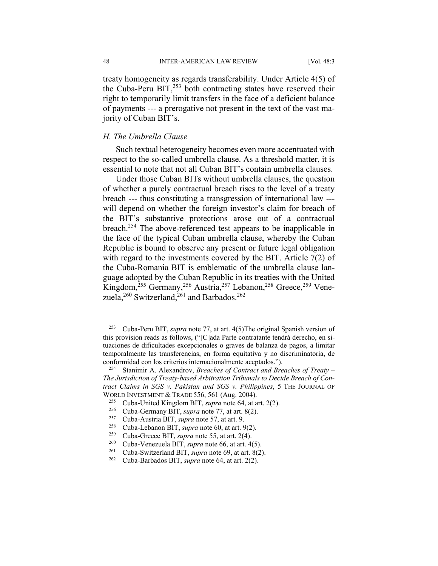treaty homogeneity as regards transferability. Under Article 4(5) of the Cuba-Peru  $BIT<sub>1</sub><sup>253</sup>$  both contracting states have reserved their right to temporarily limit transfers in the face of a deficient balance of payments --- a prerogative not present in the text of the vast majority of Cuban BIT's.

# *H. The Umbrella Clause*

Such textual heterogeneity becomes even more accentuated with respect to the so-called umbrella clause. As a threshold matter, it is essential to note that not all Cuban BIT's contain umbrella clauses.

Under those Cuban BITs without umbrella clauses, the question of whether a purely contractual breach rises to the level of a treaty breach --- thus constituting a transgression of international law -- will depend on whether the foreign investor's claim for breach of the BIT's substantive protections arose out of a contractual breach.254 The above-referenced test appears to be inapplicable in the face of the typical Cuban umbrella clause, whereby the Cuban Republic is bound to observe any present or future legal obligation with regard to the investments covered by the BIT. Article 7(2) of the Cuba-Romania BIT is emblematic of the umbrella clause language adopted by the Cuban Republic in its treaties with the United Kingdom,<sup>255</sup> Germany,<sup>256</sup> Austria,<sup>257</sup> Lebanon,<sup>258</sup> Greece,<sup>259</sup> Venezuela,<sup>260</sup> Switzerland,<sup>261</sup> and Barbados.<sup>262</sup>

<u>.</u>

<sup>253</sup> Cuba-Peru BIT, *supra* note 77, at art. 4(5)The original Spanish version of this provision reads as follows, ("[C]ada Parte contratante tendrá derecho, en situaciones de dificultades excepcionales o graves de balanza de pagos, a limitar temporalmente las transferencias, en forma equitativa y no discriminatoria, de conformidad con los criterios internacionalmente aceptados."). 254 Stanimir A. Alexandrov, *Breaches of Contract and Breaches of Treaty –* 

*The Jurisdiction of Treaty-based Arbitration Tribunals to Decide Breach of Contract Claims in SGS v. Pakistan and SGS v. Philippines*, 5 THE JOURNAL OF WORLD INVESTMENT & TRADE 556, 561 (Aug. 2004).<br><sup>255</sup> Cuba-United Kingdom BIT, *supra* note 64, at art. 2(2).<br><sup>256</sup> Cuba-Germany BIT, *supra* note 77, at art. 8(2).<br><sup>257</sup> Cuba-Austria BIT, *supra* note 57, at art. 9.<br><sup>258</sup>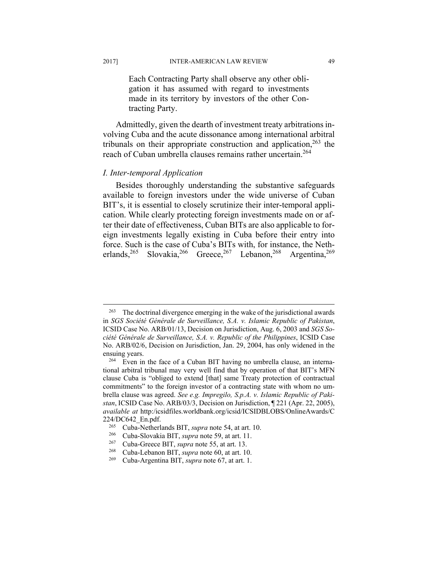Each Contracting Party shall observe any other obligation it has assumed with regard to investments made in its territory by investors of the other Contracting Party.

Admittedly, given the dearth of investment treaty arbitrations involving Cuba and the acute dissonance among international arbitral tribunals on their appropriate construction and application,  $263$  the reach of Cuban umbrella clauses remains rather uncertain.<sup>264</sup>

# *I. Inter-temporal Application*

Besides thoroughly understanding the substantive safeguards available to foreign investors under the wide universe of Cuban BIT's, it is essential to closely scrutinize their inter-temporal application. While clearly protecting foreign investments made on or after their date of effectiveness, Cuban BITs are also applicable to foreign investments legally existing in Cuba before their entry into force. Such is the case of Cuba's BITs with, for instance, the Netherlands,<sup>265</sup> Slovakia,<sup>266</sup> Greece,<sup>267</sup> Lebanon,<sup>268</sup> Argentina,<sup>269</sup>

<sup>&</sup>lt;sup>263</sup> The doctrinal divergence emerging in the wake of the jurisdictional awards in *SGS Société Générale de Surveillance, S.A. v. Islamic Republic of Pakistan*, ICSID Case No. ARB/01/13, Decision on Jurisdiction, Aug. 6, 2003 and *SGS Société Générale de Surveillance, S.A. v. Republic of the Philippines*, ICSID Case No. ARB/02/6, Decision on Jurisdiction, Jan. 29, 2004, has only widened in the ensuing years.

<sup>264</sup> Even in the face of a Cuban BIT having no umbrella clause, an international arbitral tribunal may very well find that by operation of that BIT's MFN clause Cuba is "obliged to extend [that] same Treaty protection of contractual commitments" to the foreign investor of a contracting state with whom no umbrella clause was agreed. *See e.g. Impregilo, S.p.A. v. Islamic Republic of Pakistan*, ICSID Case No. ARB/03/3, Decision on Jurisdiction, ¶ 221 (Apr. 22, 2005), *available at* http:/icsidfiles.worldbank.org/icsid/ICSIDBLOBS/OnlineAwards/C 224/DC642\_En.pdf.<br><sup>265</sup> Cuba-Netherlands BIT, *supra* note 54, at art. 10.<br><sup>266</sup> Cuba-Slovakia BIT, *supra* note 59, at art. 11.<br><sup>267</sup> Cuba-Greece BIT, *supra* note 55, at art. 13.<br><sup>268</sup> Cuba-Lebanon BIT, *supra* note 60,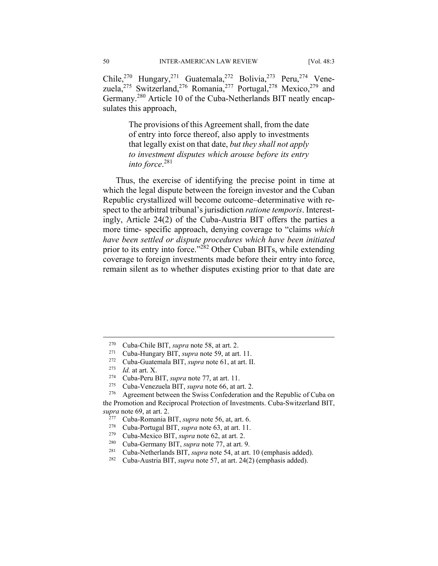Chile,<sup>270</sup> Hungary,<sup>271</sup> Guatemala,<sup>272</sup> Bolivia,<sup>273</sup> Peru,<sup>274</sup> Venezuela,<sup>275</sup> Switzerland,<sup>276</sup> Romania,<sup>277</sup> Portugal,<sup>278</sup> Mexico,<sup>279</sup> and Germany.280 Article 10 of the Cuba-Netherlands BIT neatly encapsulates this approach,

> The provisions of this Agreement shall, from the date of entry into force thereof, also apply to investments that legally exist on that date, *but they shall not apply to investment disputes which arouse before its entry into force*. 281

Thus, the exercise of identifying the precise point in time at which the legal dispute between the foreign investor and the Cuban Republic crystallized will become outcome–determinative with respect to the arbitral tribunal's jurisdiction *ratione temporis*. Interestingly, Article 24(2) of the Cuba-Austria BIT offers the parties a more time- specific approach, denying coverage to "claims *which have been settled or dispute procedures which have been initiated* prior to its entry into force."<sup>282</sup> Other Cuban BITs, while extending coverage to foreign investments made before their entry into force, remain silent as to whether disputes existing prior to that date are

1

<sup>&</sup>lt;sup>270</sup> Cuba-Chile BIT, *supra* note 58, at art. 2.<br>
<sup>271</sup> Cuba-Hungary BIT, *supra* note 59, at art. 11.<br>
<sup>272</sup> Cuba-Guatemala BIT, *supra* note 61, at art. II.<br>
<sup>273</sup> Id. at art. X.<br>
Cuba-Peru BIT, *supra* note 77, at art the Promotion and Reciprocal Protection of Investments. Cuba-Switzerland BIT, *supra* note 69, at art. 2.

<sup>&</sup>lt;sup>277</sup> Cuba-Romania BIT, *supra* note 56, at, art. 6.<br>
<sup>278</sup> Cuba-Portugal BIT, *supra* note 63, at art. 11.<br>
<sup>279</sup> Cuba-Mexico BIT, *supra* note 62, at art. 2.<br>
<sup>280</sup> Cuba-Germany BIT, *supra* note 77, at art. 9.<br>
<sup>281</sup> C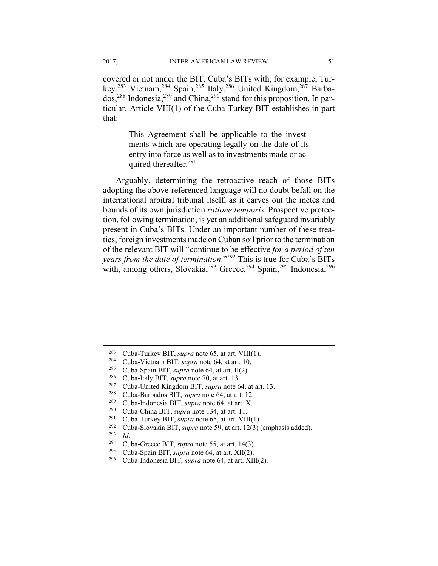covered or not under the BIT. Cuba's BITs with, for example, Turkey,283 Vietnam,284 Spain,285 Italy,286 United Kingdom,287 Barbados,288 Indonesia,289 and China,290 stand for this proposition. In particular, Article VIII(1) of the Cuba-Turkey BIT establishes in part that:

> This Agreement shall be applicable to the investments which are operating legally on the date of its entry into force as well as to investments made or acquired thereafter.<sup>291</sup>

Arguably, determining the retroactive reach of those BITs adopting the above-referenced language will no doubt befall on the international arbitral tribunal itself, as it carves out the metes and bounds of its own jurisdiction *ratione temporis*. Prospective protection, following termination, is yet an additional safeguard invariably present in Cuba's BITs. Under an important number of these treaties, foreign investments made on Cuban soil prior to the termination of the relevant BIT will "continue to be effective *for a period of ten years from the date of termination*."292 This is true for Cuba's BITs with, among others, Slovakia,  $293$  Greece,  $294$  Spain,  $295$  Indonesia,  $296$ 

<sup>&</sup>lt;sup>283</sup> Cuba-Turkey BIT, *supra* note 65, at art. VIII(1).<br>
<sup>284</sup> Cuba-Vietnam BIT, *supra* note 64, at art. 10.<br>
<sup>285</sup> Cuba-Spain BIT, *supra* note 64, at art. 11(2).<br>
<sup>286</sup> Cuba-Italy BIT, *supra* note 70, at art. 13.<br>
<sup>2</sup>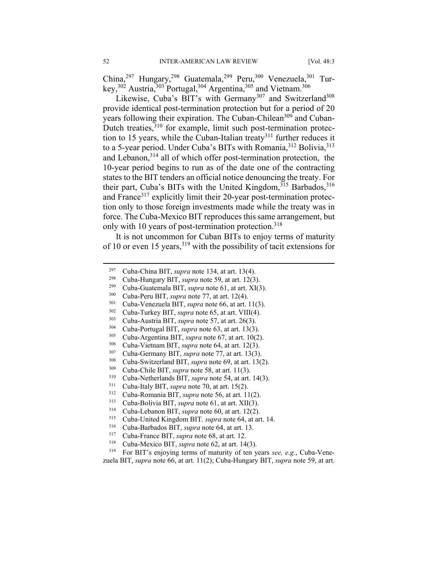China,<sup>297</sup> Hungary,<sup>298</sup> Guatemala,<sup>299</sup> Peru,<sup>300</sup> Venezuela,<sup>301</sup> Turkey,<sup>302</sup> Austria,<sup>303</sup> Portugal,<sup>304</sup> Argentina,<sup>305</sup> and Vietnam.<sup>306</sup>

Likewise, Cuba's BIT's with Germany<sup>307</sup> and Switzerland<sup>308</sup> provide identical post-termination protection but for a period of 20 years following their expiration. The Cuban-Chilean<sup>309</sup> and Cuban-Dutch treaties,<sup>310</sup> for example, limit such post-termination protection to 15 years, while the Cuban-Italian treaty<sup>311</sup> further reduces it to a 5-year period. Under Cuba's BITs with Romania,<sup>312</sup> Bolivia,<sup>313</sup> and Lebanon,<sup>314</sup> all of which offer post-termination protection, the 10-year period begins to run as of the date one of the contracting states to the BIT tenders an official notice denouncing the treaty. For their part, Cuba's BITs with the United Kingdom,  $315$  Barbados,  $316$ and France<sup>317</sup> explicitly limit their 20-year post-termination protection only to those foreign investments made while the treaty was in force. The Cuba-Mexico BIT reproduces this same arrangement, but only with 10 years of post-termination protection.<sup>318</sup>

It is not uncommon for Cuban BITs to enjoy terms of maturity of 10 or even 15 years,  $319$  with the possibility of tacit extensions for

1

Cuba-China BIT, *supra* note 134, at art. 13(4).<br><sup>299</sup> Cuba-Hungary BIT, *supra* note 59, at art. 12(3).<br><sup>299</sup> Cuba-Hungary BIT, *supra* note 50, at art. 21(3).<br><sup>300</sup> Cuba-Peru BIT, *supra* note 77, at art. 12(4).<br><sup>301</sup> C

zuela BIT, *supra* note 66, at art. 11(2); Cuba-Hungary BIT, *supra* note 59, at art.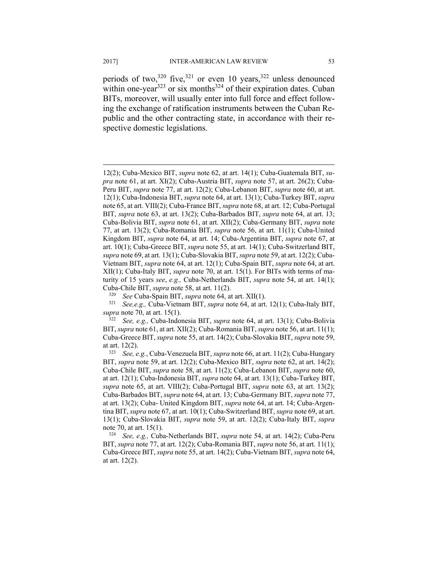periods of two,<sup>320</sup> five,<sup>321</sup> or even 10 years,<sup>322</sup> unless denounced within one-year<sup>323</sup> or six months<sup>324</sup> of their expiration dates. Cuban BITs, moreover, will usually enter into full force and effect following the exchange of ratification instruments between the Cuban Republic and the other contracting state, in accordance with their respective domestic legislations.

<sup>12(2);</sup> Cuba-Mexico BIT, *supra* note 62, at art. 14(1); Cuba-Guatemala BIT, *supra* note 61, at art. XI(2); Cuba-Austria BIT, *supra* note 57, at art. 26(2); Cuba-Peru BIT, *supra* note 77, at art. 12(2); Cuba-Lebanon BIT, *supra* note 60, at art. 12(1); Cuba-Indonesia BIT, *supra* note 64, at art. 13(1); Cuba-Turkey BIT, *supra* note 65, at art. VIII(2); Cuba-France BIT, *supra* note 68, at art. 12; Cuba-Portugal BIT, *supra* note 63, at art. 13(2); Cuba-Barbados BIT, *supra* note 64, at art. 13; Cuba-Bolivia BIT, *supra* note 61, at art. XII(2); Cuba-Germany BIT, *supra* note 77, at art. 13(2); Cuba-Romania BIT, *supra* note 56, at art. 11(1); Cuba-United Kingdom BIT, *supra* note 64, at art. 14; Cuba-Argentina BIT, *supra* note 67, at art. 10(1); Cuba-Greece BIT, *supra* note 55, at art. 14(1); Cuba-Switzerland BIT, *supra* note 69, at art. 13(1); Cuba-Slovakia BIT, *supra* note 59, at art. 12(2); Cuba-Vietnam BIT, *supra* note 64, at art. 12(1); Cuba-Spain BIT, *supra* note 64, at art. XII(1); Cuba-Italy BIT, *supra* note 70, at art. 15(1). For BITs with terms of maturity of 15 years *see*, *e.g.,* Cuba-Netherlands BIT, *supra* note 54, at art. 14(1);

Cuba-Chile BIT, *supra* note 58, at art. 11(2).<br><sup>320</sup> See Cuba-Spain BIT, *supra* note 64, at art. XII(1). 3<sup>21</sup> See,e.g., Cuba-Vietnam BIT, *supra* note 64, at art. 12(1); Cuba-Italy BIT, *supra* note 70, at art. 15(1). 322 *See, e.g.,* Cuba-Indonesia BIT, *supra* note 64, at art. 13(1); Cuba-Bolivia

BIT, *supra* note 61, at art. XII(2); Cuba-Romania BIT, *supra* note 56, at art. 11(1); Cuba-Greece BIT, *supra* note 55, at art. 14(2); Cuba-Slovakia BIT, *supra* note 59, at art. 12(2). 323 *See, e.g.*, Cuba-Venezuela BIT, *supra* note 66, at art. 11(2); Cuba-Hungary

BIT, *supra* note 59, at art. 12(2); Cuba-Mexico BIT, *supra* note 62, at art. 14(2); Cuba-Chile BIT, *supra* note 58, at art. 11(2); Cuba-Lebanon BIT, *supra* note 60, at art. 12(1); Cuba-Indonesia BIT, *supra* note 64, at art. 13(1); Cuba-Turkey BIT, *supra* note 65, at art. VIII(2); Cuba-Portugal BIT, *supra* note 63, at art. 13(2); Cuba-Barbados BIT, *supra* note 64, at art. 13; Cuba-Germany BIT, *supra* note 77, at art. 13(2); Cuba- United Kingdom BIT, *supra* note 64, at art. 14; Cuba-Argentina BIT, *supra* note 67, at art. 10(1); Cuba-Switzerland BIT, *supra* note 69, at art. 13(1); Cuba-Slovakia BIT, *supra* note 59, at art. 12(2); Cuba-Italy BIT, *supra*  note 70, at art. 15(1). 324 *See, e.g.,* Cuba-Netherlands BIT, *supra* note 54, at art. 14(2); Cuba-Peru

BIT, *supra* note 77, at art. 12(2); Cuba-Romania BIT, *supra* note 56, at art. 11(1); Cuba-Greece BIT, *supra* note 55, at art. 14(2); Cuba-Vietnam BIT, *supra* note 64, at art. 12(2).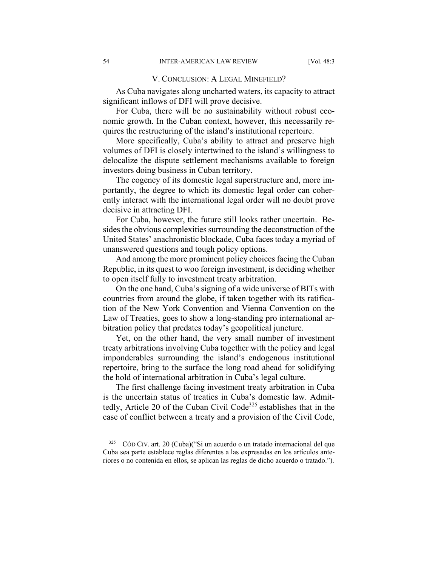#### V. CONCLUSION: A LEGAL MINEFIELD?

As Cuba navigates along uncharted waters, its capacity to attract significant inflows of DFI will prove decisive.

For Cuba, there will be no sustainability without robust economic growth. In the Cuban context, however, this necessarily requires the restructuring of the island's institutional repertoire.

More specifically, Cuba's ability to attract and preserve high volumes of DFI is closely intertwined to the island's willingness to delocalize the dispute settlement mechanisms available to foreign investors doing business in Cuban territory.

The cogency of its domestic legal superstructure and, more importantly, the degree to which its domestic legal order can coherently interact with the international legal order will no doubt prove decisive in attracting DFI.

For Cuba, however, the future still looks rather uncertain. Besides the obvious complexities surrounding the deconstruction of the United States' anachronistic blockade, Cuba faces today a myriad of unanswered questions and tough policy options.

And among the more prominent policy choices facing the Cuban Republic, in its quest to woo foreign investment, is deciding whether to open itself fully to investment treaty arbitration.

On the one hand, Cuba's signing of a wide universe of BITs with countries from around the globe, if taken together with its ratification of the New York Convention and Vienna Convention on the Law of Treaties, goes to show a long-standing pro international arbitration policy that predates today's geopolitical juncture.

Yet, on the other hand, the very small number of investment treaty arbitrations involving Cuba together with the policy and legal imponderables surrounding the island's endogenous institutional repertoire, bring to the surface the long road ahead for solidifying the hold of international arbitration in Cuba's legal culture.

The first challenge facing investment treaty arbitration in Cuba is the uncertain status of treaties in Cuba's domestic law. Admittedly, Article 20 of the Cuban Civil Code<sup>325</sup> establishes that in the case of conflict between a treaty and a provision of the Civil Code,

<sup>325</sup> CÓD CIV. art. 20 (Cuba)("Si un acuerdo o un tratado internacional del que Cuba sea parte establece reglas diferentes a las expresadas en los artículos anteriores o no contenida en ellos, se aplican las reglas de dicho acuerdo o tratado.").